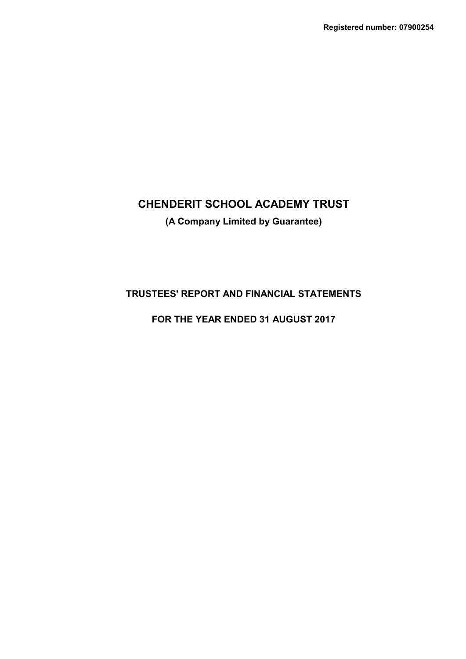# **CHENDERIT SCHOOL ACADEMY TRUST (A Company Limited by Guarantee)**

# **TRUSTEES' REPORT AND FINANCIAL STATEMENTS**

# **FOR THE YEAR ENDED 31 AUGUST 2017**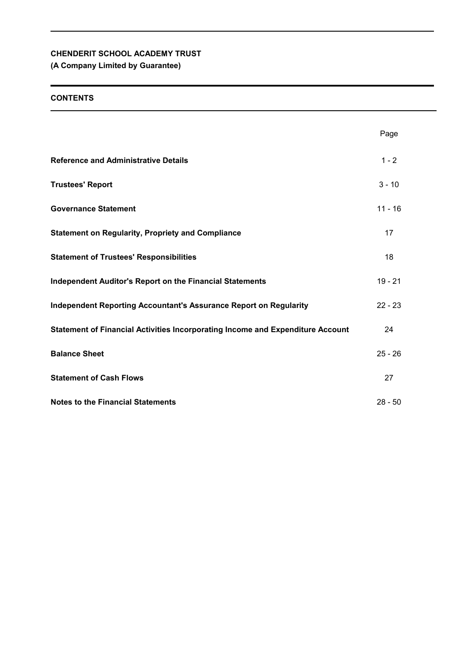# **(A Company Limited by Guarantee)**

# **CONTENTS**

|                                                                                | Page      |
|--------------------------------------------------------------------------------|-----------|
| <b>Reference and Administrative Details</b>                                    | $1 - 2$   |
| <b>Trustees' Report</b>                                                        | $3 - 10$  |
| <b>Governance Statement</b>                                                    | $11 - 16$ |
| <b>Statement on Regularity, Propriety and Compliance</b>                       | 17        |
| <b>Statement of Trustees' Responsibilities</b>                                 | 18        |
| <b>Independent Auditor's Report on the Financial Statements</b>                | $19 - 21$ |
| Independent Reporting Accountant's Assurance Report on Regularity              | $22 - 23$ |
| Statement of Financial Activities Incorporating Income and Expenditure Account | 24        |
| <b>Balance Sheet</b>                                                           | $25 - 26$ |
| <b>Statement of Cash Flows</b>                                                 | 27        |
| <b>Notes to the Financial Statements</b>                                       | $28 - 50$ |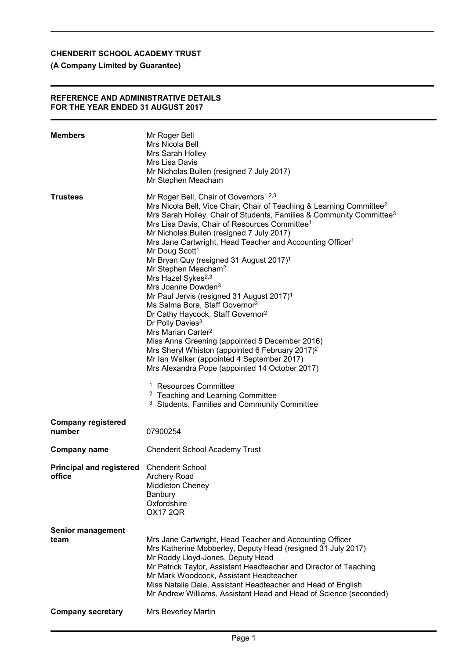# **(A Company Limited by Guarantee)**

#### **REFERENCE AND ADMINISTRATIVE DETAILS FOR THE YEAR ENDED 31 AUGUST 2017**

| <b>Members</b>                                      | Mr Roger Bell<br>Mrs Nicola Bell<br>Mrs Sarah Holley<br>Mrs Lisa Davis<br>Mr Nicholas Bullen (resigned 7 July 2017)<br>Mr Stephen Meacham                                                                                                                                                                                                                                                                                                                                                                                                                                                                                                                                                                                                                                                                                                                                                                                                                                                                                                                                                                                                                                                           |
|-----------------------------------------------------|-----------------------------------------------------------------------------------------------------------------------------------------------------------------------------------------------------------------------------------------------------------------------------------------------------------------------------------------------------------------------------------------------------------------------------------------------------------------------------------------------------------------------------------------------------------------------------------------------------------------------------------------------------------------------------------------------------------------------------------------------------------------------------------------------------------------------------------------------------------------------------------------------------------------------------------------------------------------------------------------------------------------------------------------------------------------------------------------------------------------------------------------------------------------------------------------------------|
| <b>Trustees</b>                                     | Mr Roger Bell, Chair of Governors <sup>1,2,3</sup><br>Mrs Nicola Bell, Vice Chair, Chair of Teaching & Learning Committee <sup>2</sup><br>Mrs Sarah Holley, Chair of Students, Families & Community Committee <sup>3</sup><br>Mrs Lisa Davis, Chair of Resources Committee <sup>1</sup><br>Mr Nicholas Bullen (resigned 7 July 2017)<br>Mrs Jane Cartwright, Head Teacher and Accounting Officer <sup>1</sup><br>Mr Doug Scott <sup>1</sup><br>Mr Bryan Quy (resigned 31 August 2017) <sup>1</sup><br>Mr Stephen Meacham <sup>2</sup><br>Mrs Hazel Sykes <sup>2,3</sup><br>Mrs Joanne Dowden <sup>3</sup><br>Mr Paul Jervis (resigned 31 August 2017) <sup>1</sup><br>Ms Salma Bora, Staff Governor <sup>3</sup><br>Dr Cathy Haycock, Staff Governor <sup>2</sup><br>Dr Polly Davies <sup>3</sup><br>Mrs Marian Carter <sup>2</sup><br>Miss Anna Greening (appointed 5 December 2016)<br>Mrs Sheryl Whiston (appointed 6 February 2017) <sup>2</sup><br>Mr Ian Walker (appointed 4 September 2017)<br>Mrs Alexandra Pope (appointed 14 October 2017)<br><sup>1</sup> Resources Committee<br><sup>2</sup> Teaching and Learning Committee<br><sup>3</sup> Students, Families and Community Committee |
| <b>Company registered</b><br>number                 | 07900254                                                                                                                                                                                                                                                                                                                                                                                                                                                                                                                                                                                                                                                                                                                                                                                                                                                                                                                                                                                                                                                                                                                                                                                            |
| <b>Company name</b>                                 | <b>Chenderit School Academy Trust</b>                                                                                                                                                                                                                                                                                                                                                                                                                                                                                                                                                                                                                                                                                                                                                                                                                                                                                                                                                                                                                                                                                                                                                               |
| Principal and registered Chenderit School<br>office | <b>Archery Road</b><br><b>Middleton Cheney</b><br>Banbury<br>Oxfordshire<br><b>OX17 2QR</b>                                                                                                                                                                                                                                                                                                                                                                                                                                                                                                                                                                                                                                                                                                                                                                                                                                                                                                                                                                                                                                                                                                         |
| <b>Senior management</b><br>team                    | Mrs Jane Cartwright, Head Teacher and Accounting Officer<br>Mrs Katherine Mobberley, Deputy Head (resigned 31 July 2017)<br>Mr Roddy Lloyd-Jones, Deputy Head<br>Mr Patrick Taylor, Assistant Headteacher and Director of Teaching<br>Mr Mark Woodcock, Assistant Headteacher<br>Miss Natalie Dale, Assistant Headteacher and Head of English<br>Mr Andrew Williams, Assistant Head and Head of Science (seconded)                                                                                                                                                                                                                                                                                                                                                                                                                                                                                                                                                                                                                                                                                                                                                                                  |
| <b>Company secretary</b>                            | Mrs Beverley Martin                                                                                                                                                                                                                                                                                                                                                                                                                                                                                                                                                                                                                                                                                                                                                                                                                                                                                                                                                                                                                                                                                                                                                                                 |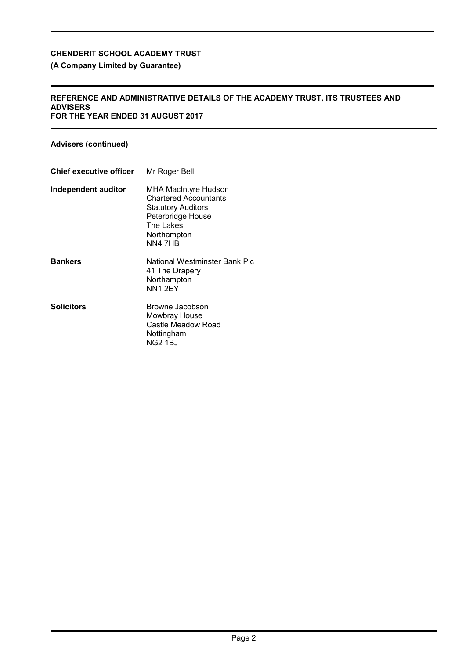# **(A Company Limited by Guarantee)**

#### **REFERENCE AND ADMINISTRATIVE DETAILS OF THE ACADEMY TRUST, ITS TRUSTEES AND ADVISERS FOR THE YEAR ENDED 31 AUGUST 2017**

# **Advisers (continued)**

| <b>Chief executive officer</b> | Mr Roger Bell                                                                                                                                 |
|--------------------------------|-----------------------------------------------------------------------------------------------------------------------------------------------|
| Independent auditor            | MHA MacIntyre Hudson<br><b>Chartered Accountants</b><br><b>Statutory Auditors</b><br>Peterbridge House<br>The Lakes<br>Northampton<br>NN4 7HB |
| <b>Bankers</b>                 | National Westminster Bank Plc<br>41 The Drapery<br>Northampton<br>NN1 2EY                                                                     |
| <b>Solicitors</b>              | Browne Jacobson<br>Mowbray House<br>Castle Meadow Road<br>Nottingham<br>NG2 1BJ                                                               |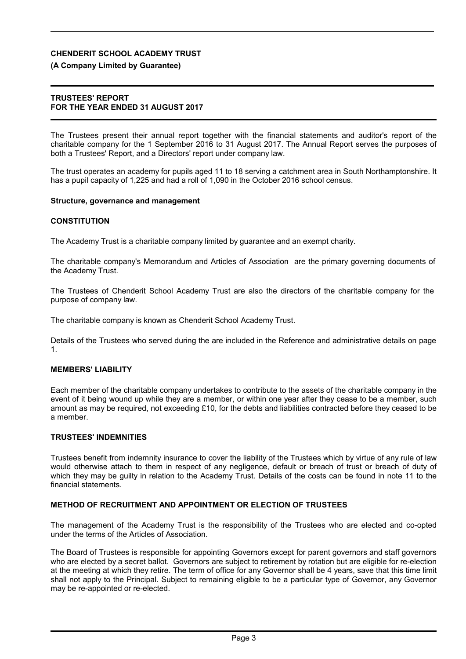#### **(A Company Limited by Guarantee)**

#### **TRUSTEES' REPORT FOR THE YEAR ENDED 31 AUGUST 2017**

The Trustees present their annual report together with the financial statements and auditor's report of the charitable company for the 1 September 2016 to 31 August 2017. The Annual Report serves the purposes of both a Trustees' Report, and a Directors' report under company law.

The trust operates an academy for pupils aged 11 to 18 serving a catchment area in South Northamptonshire. It has a pupil capacity of 1,225 and had a roll of 1,090 in the October 2016 school census.

#### **Structure, governance and management**

#### **CONSTITUTION**

The Academy Trust is a charitable company limited by guarantee and an exempt charity.

The charitable company's Memorandum and Articles of Association are the primary governing documents of the Academy Trust.

The Trustees of Chenderit School Academy Trust are also the directors of the charitable company for the purpose of company law.

The charitable company is known as Chenderit School Academy Trust.

Details of the Trustees who served during the are included in the Reference and administrative details on page 1.

### **MEMBERS' LIABILITY**

Each member of the charitable company undertakes to contribute to the assets of the charitable company in the event of it being wound up while they are a member, or within one year after they cease to be a member, such amount as may be required, not exceeding £10, for the debts and liabilities contracted before they ceased to be a member.

#### **TRUSTEES' INDEMNITIES**

Trustees benefit from indemnity insurance to cover the liability of the Trustees which by virtue of any rule of law would otherwise attach to them in respect of any negligence, default or breach of trust or breach of duty of which they may be guilty in relation to the Academy Trust. Details of the costs can be found in note 11 to the financial statements.

#### **METHOD OF RECRUITMENT AND APPOINTMENT OR ELECTION OF TRUSTEES**

The management of the Academy Trust is the responsibility of the Trustees who are elected and co-opted under the terms of the Articles of Association.

The Board of Trustees is responsible for appointing Governors except for parent governors and staff governors who are elected by a secret ballot. Governors are subject to retirement by rotation but are eligible for re-election at the meeting at which they retire. The term of office for any Governor shall be 4 years, save that this time limit shall not apply to the Principal. Subject to remaining eligible to be a particular type of Governor, any Governor may be re-appointed or re-elected.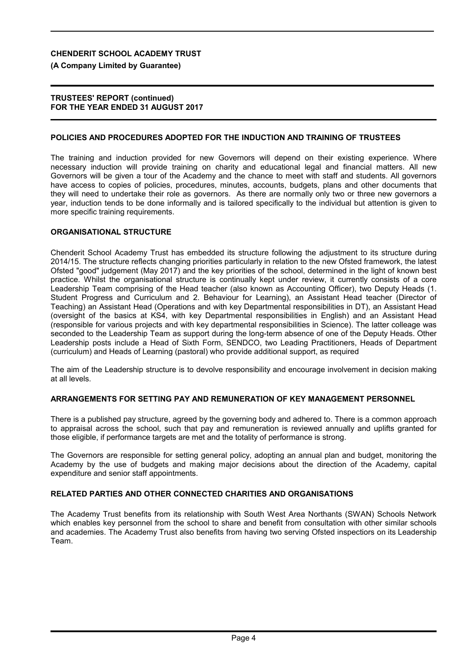#### **(A Company Limited by Guarantee)**

#### **TRUSTEES' REPORT (continued) FOR THE YEAR ENDED 31 AUGUST 2017**

#### **POLICIES AND PROCEDURES ADOPTED FOR THE INDUCTION AND TRAINING OF TRUSTEES**

The training and induction provided for new Governors will depend on their existing experience. Where necessary induction will provide training on charity and educational legal and financial matters. All new Governors will be given a tour of the Academy and the chance to meet with staff and students. All governors have access to copies of policies, procedures, minutes, accounts, budgets, plans and other documents that they will need to undertake their role as governors. As there are normally only two or three new governors a year, induction tends to be done informally and is tailored specifically to the individual but attention is given to more specific training requirements.

#### **ORGANISATIONAL STRUCTURE**

Chenderit School Academy Trust has embedded its structure following the adjustment to its structure during 2014/15. The structure reflects changing priorities particularly in relation to the new Ofsted framework, the latest Ofsted "good" judgement (May 2017) and the key priorities of the school, determined in the light of known best practice. Whilst the organisational structure is continually kept under review, it currently consists of a core Leadership Team comprising of the Head teacher (also known as Accounting Officer), two Deputy Heads (1. Student Progress and Curriculum and 2. Behaviour for Learning), an Assistant Head teacher (Director of Teaching) an Assistant Head (Operations and with key Departmental responsibilities in DT), an Assistant Head (oversight of the basics at KS4, with key Departmental responsibilities in English) and an Assistant Head (responsible for various projects and with key departmental responsibilities in Science). The latter colleage was seconded to the Leadership Team as support during the long-term absence of one of the Deputy Heads. Other Leadership posts include a Head of Sixth Form, SENDCO, two Leading Practitioners, Heads of Department (curriculum) and Heads of Learning (pastoral) who provide additional support, as required

The aim of the Leadership structure is to devolve responsibility and encourage involvement in decision making at all levels.

### **ARRANGEMENTS FOR SETTING PAY AND REMUNERATION OF KEY MANAGEMENT PERSONNEL**

There is a published pay structure, agreed by the governing body and adhered to. There is a common approach to appraisal across the school, such that pay and remuneration is reviewed annually and uplifts granted for those eligible, if performance targets are met and the totality of performance is strong.

The Governors are responsible for setting general policy, adopting an annual plan and budget, monitoring the Academy by the use of budgets and making major decisions about the direction of the Academy, capital expenditure and senior staff appointments.

# **RELATED PARTIES AND OTHER CONNECTED CHARITIES AND ORGANISATIONS**

The Academy Trust benefits from its relationship with South West Area Northants (SWAN) Schools Network which enables key personnel from the school to share and benefit from consultation with other similar schools and academies. The Academy Trust also benefits from having two serving Ofsted inspectiors on its Leadership Team.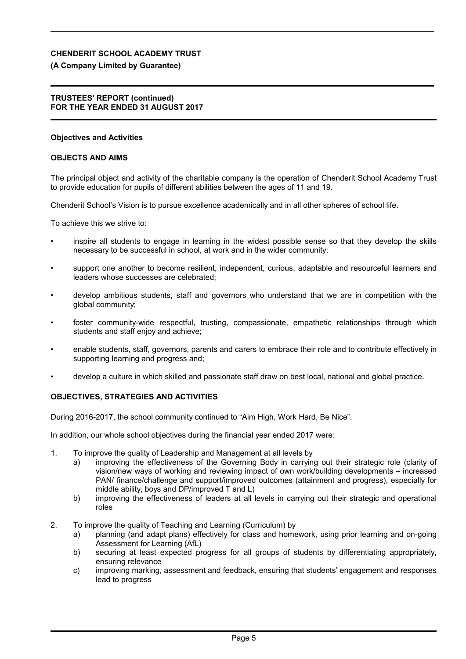#### **(A Company Limited by Guarantee)**

#### **TRUSTEES' REPORT (continued) FOR THE YEAR ENDED 31 AUGUST 2017**

#### **Objectives and Activities**

#### **OBJECTS AND AIMS**

The principal object and activity of the charitable company is the operation of Chenderit School Academy Trust to provide education for pupils of different abilities between the ages of 11 and 19.

Chenderit School's Vision is to pursue excellence academically and in all other spheres of school life.

To achieve this we strive to:

- inspire all students to engage in learning in the widest possible sense so that they develop the skills necessary to be successful in school, at work and in the wider community;
- support one another to become resilient, independent, curious, adaptable and resourceful learners and leaders whose successes are celebrated;
- develop ambitious students, staff and governors who understand that we are in competition with the global community;
- foster community-wide respectful, trusting, compassionate, empathetic relationships through which students and staff enjoy and achieve;
- enable students, staff, governors, parents and carers to embrace their role and to contribute effectively in supporting learning and progress and;
- develop a culture in which skilled and passionate staff draw on best local, national and global practice.

#### **OBJECTIVES, STRATEGIES AND ACTIVITIES**

During 2016-2017, the school community continued to "Aim High, Work Hard, Be Nice".

In addition, our whole school objectives during the financial year ended 2017 were:

- 1. To improve the quality of Leadership and Management at all levels by
	- a) improving the effectiveness of the Governing Body in carrying out their strategic role (clarity of vision/new ways of working and reviewing impact of own work/building developments – increased PAN/ finance/challenge and support/improved outcomes (attainment and progress), especially for middle ability, boys and DP/improved T and L)
	- b) improving the effectiveness of leaders at all levels in carrying out their strategic and operational roles
- 2. To improve the quality of Teaching and Learning (Curriculum) by
	- a) planning (and adapt plans) effectively for class and homework, using prior learning and on-going Assessment for Learning (AfL)
	- b) securing at least expected progress for all groups of students by differentiating appropriately, ensuring relevance
	- c) improving marking, assessment and feedback, ensuring that students' engagement and responses lead to progress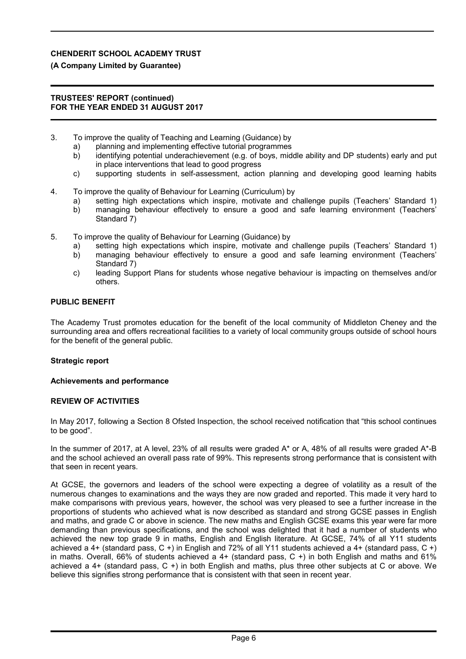#### **(A Company Limited by Guarantee)**

#### **TRUSTEES' REPORT (continued) FOR THE YEAR ENDED 31 AUGUST 2017**

- 3. To improve the quality of Teaching and Learning (Guidance) by
	- a) planning and implementing effective tutorial programmes
	- b) identifying potential underachievement (e.g. of boys, middle ability and DP students) early and put in place interventions that lead to good progress
	- c) supporting students in self-assessment, action planning and developing good learning habits
- 4. To improve the quality of Behaviour for Learning (Curriculum) by
	- a) setting high expectations which inspire, motivate and challenge pupils (Teachers' Standard 1) b) managing behaviour effectively to ensure a good and safe learning environment (Teachers' Standard 7)
- 5. To improve the quality of Behaviour for Learning (Guidance) by
	- a) setting high expectations which inspire, motivate and challenge pupils (Teachers' Standard 1)
	- b) managing behaviour effectively to ensure a good and safe learning environment (Teachers' Standard 7)
	- c) leading Support Plans for students whose negative behaviour is impacting on themselves and/or others.

#### **PUBLIC BENEFIT**

The Academy Trust promotes education for the benefit of the local community of Middleton Cheney and the surrounding area and offers recreational facilities to a variety of local community groups outside of school hours for the benefit of the general public.

#### **Strategic report**

#### **Achievements and performance**

#### **REVIEW OF ACTIVITIES**

In May 2017, following a Section 8 Ofsted Inspection, the school received notification that "this school continues to be good".

In the summer of 2017, at A level, 23% of all results were graded A\* or A, 48% of all results were graded A\*-B and the school achieved an overall pass rate of 99%. This represents strong performance that is consistent with that seen in recent years.

At GCSE, the governors and leaders of the school were expecting a degree of volatility as a result of the numerous changes to examinations and the ways they are now graded and reported. This made it very hard to make comparisons with previous years, however, the school was very pleased to see a further increase in the proportions of students who achieved what is now described as standard and strong GCSE passes in English and maths, and grade C or above in science. The new maths and English GCSE exams this year were far more demanding than previous specifications, and the school was delighted that it had a number of students who achieved the new top grade 9 in maths, English and English literature. At GCSE, 74% of all Y11 students achieved a 4+ (standard pass, C +) in English and 72% of all Y11 students achieved a 4+ (standard pass, C +) in maths. Overall, 66% of students achieved a 4+ (standard pass, C +) in both English and maths and 61% achieved a 4+ (standard pass, C +) in both English and maths, plus three other subjects at C or above. We believe this signifies strong performance that is consistent with that seen in recent year.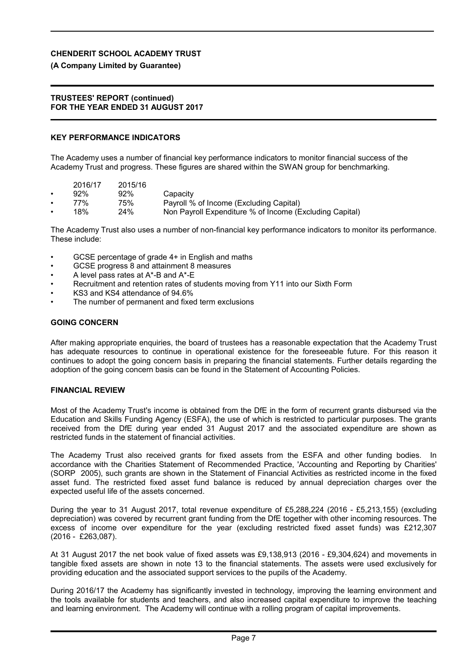# **(A Company Limited by Guarantee)**

### **TRUSTEES' REPORT (continued) FOR THE YEAR ENDED 31 AUGUST 2017**

# **KEY PERFORMANCE INDICATORS**

The Academy uses a number of financial key performance indicators to monitor financial success of the Academy Trust and progress. These figures are shared within the SWAN group for benchmarking.

| 2016/17 |     | 2015/16 |  |
|---------|-----|---------|--|
| ٠       | 92% | 92%     |  |

- Capacity
- 77% 75% Payroll % of Income (Excluding Capital)<br>18% 24% Non Payroll Expenditure % of Income (F
- Non Payroll Expenditure % of Income (Excluding Capital)

The Academy Trust also uses a number of non-financial key performance indicators to monitor its performance. These include:

- GCSE percentage of grade 4+ in English and maths
- GCSE progress 8 and attainment 8 measures
- A level pass rates at A\*-B and A\*-E
- Recruitment and retention rates of students moving from Y11 into our Sixth Form
- KS3 and KS4 attendance of 94.6%
- The number of permanent and fixed term exclusions

# **GOING CONCERN**

After making appropriate enquiries, the board of trustees has a reasonable expectation that the Academy Trust has adequate resources to continue in operational existence for the foreseeable future. For this reason it continues to adopt the going concern basis in preparing the financial statements. Further details regarding the adoption of the going concern basis can be found in the Statement of Accounting Policies.

# **FINANCIAL REVIEW**

Most of the Academy Trust's income is obtained from the DfE in the form of recurrent grants disbursed via the Education and Skills Funding Agency (ESFA), the use of which is restricted to particular purposes. The grants received from the DfE during year ended 31 August 2017 and the associated expenditure are shown as restricted funds in the statement of financial activities.

The Academy Trust also received grants for fixed assets from the ESFA and other funding bodies. In accordance with the Charities Statement of Recommended Practice, 'Accounting and Reporting by Charities' (SORP 2005), such grants are shown in the Statement of Financial Activities as restricted income in the fixed asset fund. The restricted fixed asset fund balance is reduced by annual depreciation charges over the expected useful life of the assets concerned.

During the year to 31 August 2017, total revenue expenditure of £5,288,224 (2016 - £5,213,155) (excluding depreciation) was covered by recurrent grant funding from the DfE together with other incoming resources. The excess of income over expenditure for the year (excluding restricted fixed asset funds) was £212,307 (2016 - £263,087).

At 31 August 2017 the net book value of fixed assets was £9,138,913 (2016 - £9,304,624) and movements in tangible fixed assets are shown in note 13 to the financial statements. The assets were used exclusively for providing education and the associated support services to the pupils of the Academy.

During 2016/17 the Academy has significantly invested in technology, improving the learning environment and the tools available for students and teachers, and also increased capital expenditure to improve the teaching and learning environment. The Academy will continue with a rolling program of capital improvements.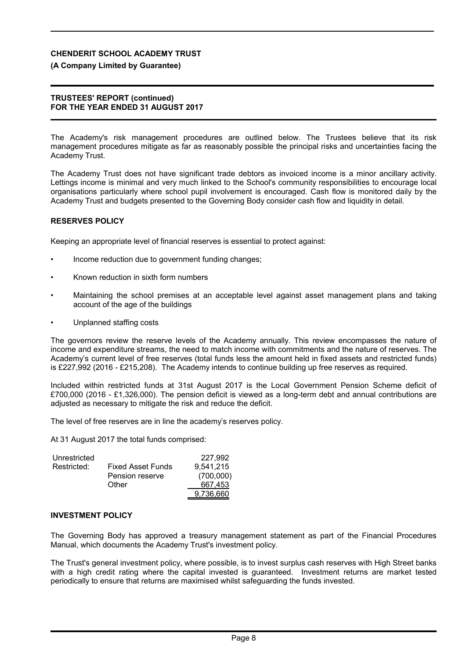#### **(A Company Limited by Guarantee)**

#### **TRUSTEES' REPORT (continued) FOR THE YEAR ENDED 31 AUGUST 2017**

The Academy's risk management procedures are outlined below. The Trustees believe that its risk management procedures mitigate as far as reasonably possible the principal risks and uncertainties facing the Academy Trust.

The Academy Trust does not have significant trade debtors as invoiced income is a minor ancillary activity. Lettings income is minimal and very much linked to the School's community responsibilities to encourage local organisations particularly where school pupil involvement is encouraged. Cash flow is monitored daily by the Academy Trust and budgets presented to the Governing Body consider cash flow and liquidity in detail.

#### **RESERVES POLICY**

Keeping an appropriate level of financial reserves is essential to protect against:

- Income reduction due to government funding changes;
- Known reduction in sixth form numbers
- Maintaining the school premises at an acceptable level against asset management plans and taking account of the age of the buildings
- Unplanned staffing costs

The governors review the reserve levels of the Academy annually. This review encompasses the nature of income and expenditure streams, the need to match income with commitments and the nature of reserves. The Academy's current level of free reserves (total funds less the amount held in fixed assets and restricted funds) is £227,992 (2016 - £215,208). The Academy intends to continue building up free reserves as required.

Included within restricted funds at 31st August 2017 is the Local Government Pension Scheme deficit of £700,000 (2016 - £1,326,000). The pension deficit is viewed as a long-term debt and annual contributions are adjusted as necessary to mitigate the risk and reduce the deficit.

The level of free reserves are in line the academy's reserves policy.

At 31 August 2017 the total funds comprised:

| Unrestricted |                          | 227.992   |
|--------------|--------------------------|-----------|
| Restricted:  | <b>Fixed Asset Funds</b> | 9,541,215 |
|              | Pension reserve          | (700,000) |
|              | Other                    | 667.453   |
|              |                          | 9,736,660 |

#### **INVESTMENT POLICY**

The Governing Body has approved a treasury management statement as part of the Financial Procedures Manual, which documents the Academy Trust's investment policy.

The Trust's general investment policy, where possible, is to invest surplus cash reserves with High Street banks with a high credit rating where the capital invested is guaranteed. Investment returns are market tested periodically to ensure that returns are maximised whilst safeguarding the funds invested.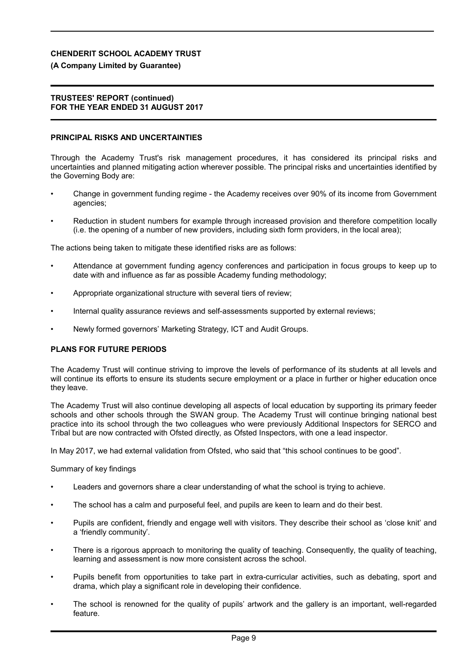#### **(A Company Limited by Guarantee)**

#### **TRUSTEES' REPORT (continued) FOR THE YEAR ENDED 31 AUGUST 2017**

#### **PRINCIPAL RISKS AND UNCERTAINTIES**

Through the Academy Trust's risk management procedures, it has considered its principal risks and uncertainties and planned mitigating action wherever possible. The principal risks and uncertainties identified by the Governing Body are:

- Change in government funding regime the Academy receives over 90% of its income from Government agencies;
- Reduction in student numbers for example through increased provision and therefore competition locally (i.e. the opening of a number of new providers, including sixth form providers, in the local area);

The actions being taken to mitigate these identified risks are as follows:

- Attendance at government funding agency conferences and participation in focus groups to keep up to date with and influence as far as possible Academy funding methodology;
- Appropriate organizational structure with several tiers of review;
- Internal quality assurance reviews and self-assessments supported by external reviews;
- Newly formed governors' Marketing Strategy, ICT and Audit Groups.

#### **PLANS FOR FUTURE PERIODS**

The Academy Trust will continue striving to improve the levels of performance of its students at all levels and will continue its efforts to ensure its students secure employment or a place in further or higher education once they leave.

The Academy Trust will also continue developing all aspects of local education by supporting its primary feeder schools and other schools through the SWAN group. The Academy Trust will continue bringing national best practice into its school through the two colleagues who were previously Additional Inspectors for SERCO and Tribal but are now contracted with Ofsted directly, as Ofsted Inspectors, with one a lead inspector.

In May 2017, we had external validation from Ofsted, who said that "this school continues to be good".

#### Summary of key findings

- Leaders and governors share a clear understanding of what the school is trying to achieve.
- The school has a calm and purposeful feel, and pupils are keen to learn and do their best.
- Pupils are confident, friendly and engage well with visitors. They describe their school as 'close knit' and a 'friendly community'.
- There is a rigorous approach to monitoring the quality of teaching. Consequently, the quality of teaching, learning and assessment is now more consistent across the school.
- Pupils benefit from opportunities to take part in extra-curricular activities, such as debating, sport and drama, which play a significant role in developing their confidence.
- The school is renowned for the quality of pupils' artwork and the gallery is an important, well-regarded feature.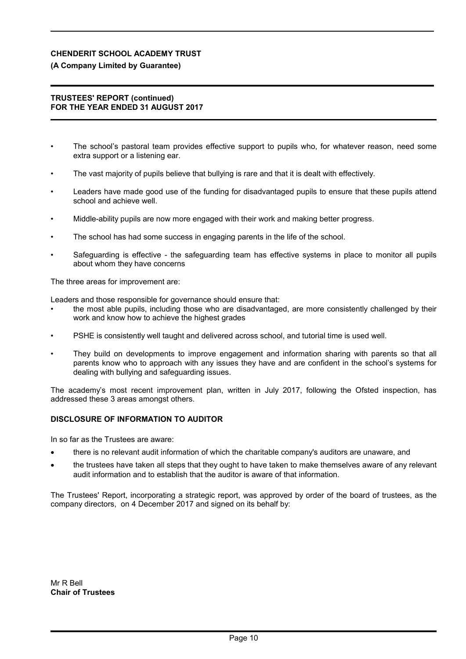# **(A Company Limited by Guarantee)**

### **TRUSTEES' REPORT (continued) FOR THE YEAR ENDED 31 AUGUST 2017**

- The school's pastoral team provides effective support to pupils who, for whatever reason, need some extra support or a listening ear.
- The vast majority of pupils believe that bullying is rare and that it is dealt with effectively.
- Leaders have made good use of the funding for disadvantaged pupils to ensure that these pupils attend school and achieve well.
- Middle-ability pupils are now more engaged with their work and making better progress.
- The school has had some success in engaging parents in the life of the school.
- Safeguarding is effective the safeguarding team has effective systems in place to monitor all pupils about whom they have concerns

The three areas for improvement are:

Leaders and those responsible for governance should ensure that:

- the most able pupils, including those who are disadvantaged, are more consistently challenged by their work and know how to achieve the highest grades
- PSHE is consistently well taught and delivered across school, and tutorial time is used well.
- They build on developments to improve engagement and information sharing with parents so that all parents know who to approach with any issues they have and are confident in the school's systems for dealing with bullying and safeguarding issues.

The academy's most recent improvement plan, written in July 2017, following the Ofsted inspection, has addressed these 3 areas amongst others.

# **DISCLOSURE OF INFORMATION TO AUDITOR**

In so far as the Trustees are aware:

- there is no relevant audit information of which the charitable company's auditors are unaware, and
- the trustees have taken all steps that they ought to have taken to make themselves aware of any relevant audit information and to establish that the auditor is aware of that information.

The Trustees' Report, incorporating a strategic report, was approved by order of the board of trustees, as the company directors, on 4 December 2017 and signed on its behalf by: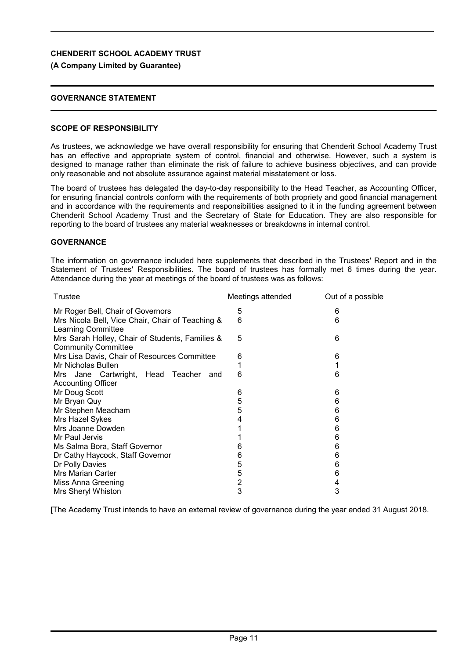#### **(A Company Limited by Guarantee)**

### **GOVERNANCE STATEMENT**

#### **SCOPE OF RESPONSIBILITY**

As trustees, we acknowledge we have overall responsibility for ensuring that Chenderit School Academy Trust has an effective and appropriate system of control, financial and otherwise. However, such a system is designed to manage rather than eliminate the risk of failure to achieve business objectives, and can provide only reasonable and not absolute assurance against material misstatement or loss.

The board of trustees has delegated the day-to-day responsibility to the Head Teacher, as Accounting Officer, for ensuring financial controls conform with the requirements of both propriety and good financial management and in accordance with the requirements and responsibilities assigned to it in the funding agreement between Chenderit School Academy Trust and the Secretary of State for Education. They are also responsible for reporting to the board of trustees any material weaknesses or breakdowns in internal control.

#### **GOVERNANCE**

The information on governance included here supplements that described in the Trustees' Report and in the Statement of Trustees' Responsibilities. The board of trustees has formally met 6 times during the year. Attendance during the year at meetings of the board of trustees was as follows:

| Meetings attended | Out of a possible |
|-------------------|-------------------|
| 5                 | 6                 |
| 6                 | 6                 |
| 5                 | 6                 |
| 6                 | 6                 |
| 1                 |                   |
| 6                 | 6                 |
|                   |                   |
| 6                 | 6                 |
| 5                 | 6                 |
|                   | 6                 |
| 4                 | 6                 |
|                   | 6                 |
|                   | 6                 |
| 6                 | 6                 |
| 6                 | 6                 |
| 5                 | 6                 |
| 5                 | 6                 |
| 2                 | 4                 |
| 3                 | 3                 |
|                   | 5                 |

[The Academy Trust intends to have an external review of governance during the year ended 31 August 2018.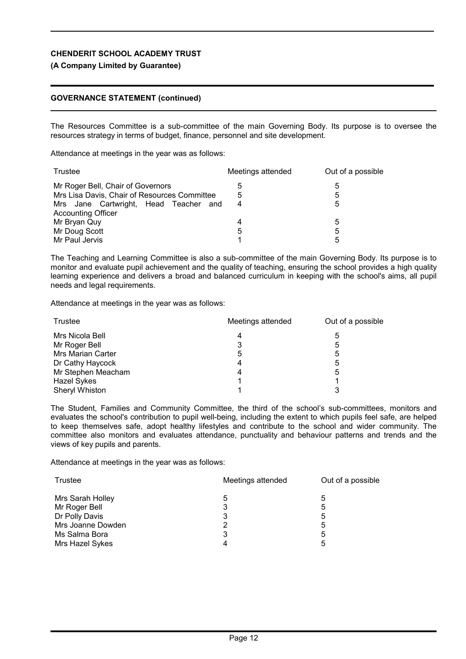#### **(A Company Limited by Guarantee)**

#### **GOVERNANCE STATEMENT (continued)**

The Resources Committee is a sub-committee of the main Governing Body. Its purpose is to oversee the resources strategy in terms of budget, finance, personnel and site development.

Attendance at meetings in the year was as follows:

| Trustee                                      | Meetings attended | Out of a possible |
|----------------------------------------------|-------------------|-------------------|
| Mr Roger Bell, Chair of Governors            | 5                 | 5                 |
| Mrs Lisa Davis, Chair of Resources Committee | 5                 | 5                 |
| Mrs Jane Cartwright, Head Teacher<br>and     | 4                 | 5                 |
| <b>Accounting Officer</b>                    |                   |                   |
| Mr Bryan Quy                                 | 4                 | 5                 |
| Mr Doug Scott                                | 5                 | 5                 |
| Mr Paul Jervis                               |                   | 5                 |

The Teaching and Learning Committee is also a sub-committee of the main Governing Body. Its purpose is to monitor and evaluate pupil achievement and the quality of teaching, ensuring the school provides a high quality learning experience and delivers a broad and balanced curriculum in keeping with the school's aims, all pupil needs and legal requirements.

Attendance at meetings in the year was as follows:

| Trustee            | Meetings attended | Out of a possible |  |
|--------------------|-------------------|-------------------|--|
| Mrs Nicola Bell    | 4                 | 5                 |  |
| Mr Roger Bell      | 3                 | 5                 |  |
| Mrs Marian Carter  | 5                 | 5                 |  |
| Dr Cathy Haycock   | 4                 | 5                 |  |
| Mr Stephen Meacham | 4                 | 5                 |  |
| <b>Hazel Sykes</b> |                   |                   |  |
| Sheryl Whiston     |                   |                   |  |

The Student, Families and Community Committee, the third of the school's sub-committees, monitors and evaluates the school's contribution to pupil well-being, including the extent to which pupils feel safe, are helped to keep themselves safe, adopt healthy lifestyles and contribute to the school and wider community. The committee also monitors and evaluates attendance, punctuality and behaviour patterns and trends and the views of key pupils and parents.

Attendance at meetings in the year was as follows:

| Meetings attended | Out of a possible |  |
|-------------------|-------------------|--|
| 5                 | 5                 |  |
| 3                 | 5                 |  |
| 3                 | 5                 |  |
| 2                 | 5                 |  |
| 3                 | 5                 |  |
| 4                 | 5                 |  |
|                   |                   |  |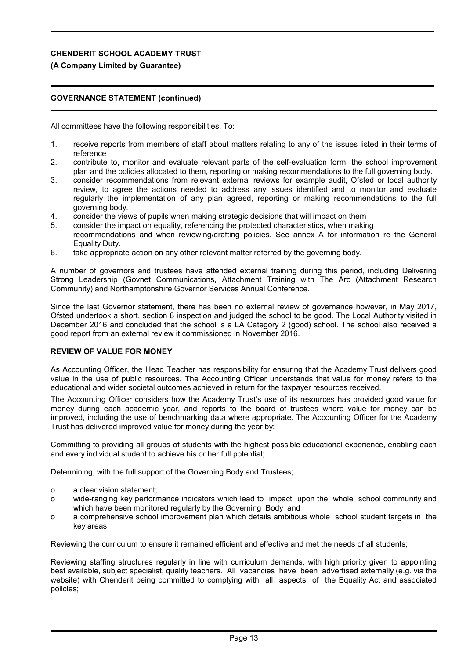# **(A Company Limited by Guarantee)**

## **GOVERNANCE STATEMENT (continued)**

All committees have the following responsibilities. To:

- 1. receive reports from members of staff about matters relating to any of the issues listed in their terms of reference
- 2. contribute to, monitor and evaluate relevant parts of the self-evaluation form, the school improvement plan and the policies allocated to them, reporting or making recommendations to the full governing body.
- 3. consider recommendations from relevant external reviews for example audit, Ofsted or local authority review, to agree the actions needed to address any issues identified and to monitor and evaluate regularly the implementation of any plan agreed, reporting or making recommendations to the full governing body.
- 4. consider the views of pupils when making strategic decisions that will impact on them
- 5. consider the impact on equality, referencing the protected characteristics, when making recommendations and when reviewing/drafting policies. See annex A for information re the General Equality Duty.
- 6. take appropriate action on any other relevant matter referred by the governing body.

A number of governors and trustees have attended external training during this period, including Delivering Strong Leadership (Govnet Communications, Attachment Training with The Arc (Attachment Research Community) and Northamptonshire Governor Services Annual Conference.

Since the last Governor statement, there has been no external review of governance however, in May 2017, Ofsted undertook a short, section 8 inspection and judged the school to be good. The Local Authority visited in December 2016 and concluded that the school is a LA Category 2 (good) school. The school also received a good report from an external review it commissioned in November 2016.

#### **REVIEW OF VALUE FOR MONEY**

As Accounting Officer, the Head Teacher has responsibility for ensuring that the Academy Trust delivers good value in the use of public resources. The Accounting Officer understands that value for money refers to the educational and wider societal outcomes achieved in return for the taxpayer resources received.

The Accounting Officer considers how the Academy Trust's use of its resources has provided good value for money during each academic year, and reports to the board of trustees where value for money can be improved, including the use of benchmarking data where appropriate. The Accounting Officer for the Academy Trust has delivered improved value for money during the year by:

Committing to providing all groups of students with the highest possible educational experience, enabling each and every individual student to achieve his or her full potential;

Determining, with the full support of the Governing Body and Trustees;

- o a clear vision statement;
- o wide-ranging key performance indicators which lead to impact upon the whole school community and which have been monitored regularly by the Governing Body and
- o a comprehensive school improvement plan which details ambitious whole school student targets in the key areas;

Reviewing the curriculum to ensure it remained efficient and effective and met the needs of all students;

Reviewing staffing structures regularly in line with curriculum demands, with high priority given to appointing best available, subject specialist, quality teachers. All vacancies have been advertised externally (e.g. via the website) with Chenderit being committed to complying with all aspects of the Equality Act and associated policies;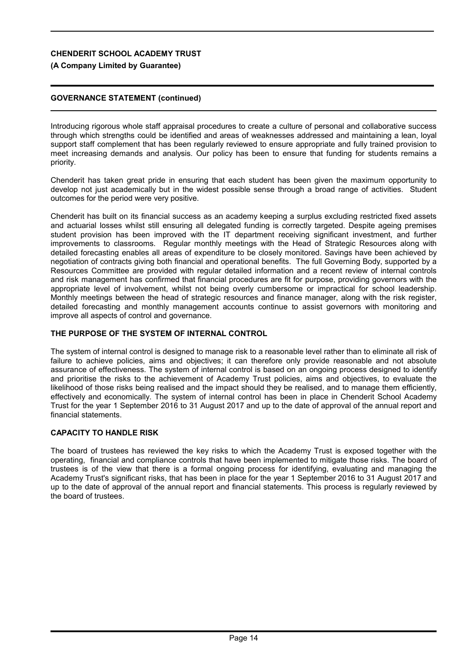### **(A Company Limited by Guarantee)**

### **GOVERNANCE STATEMENT (continued)**

Introducing rigorous whole staff appraisal procedures to create a culture of personal and collaborative success through which strengths could be identified and areas of weaknesses addressed and maintaining a lean, loyal support staff complement that has been regularly reviewed to ensure appropriate and fully trained provision to meet increasing demands and analysis. Our policy has been to ensure that funding for students remains a priority.

Chenderit has taken great pride in ensuring that each student has been given the maximum opportunity to develop not just academically but in the widest possible sense through a broad range of activities. Student outcomes for the period were very positive.

Chenderit has built on its financial success as an academy keeping a surplus excluding restricted fixed assets and actuarial losses whilst still ensuring all delegated funding is correctly targeted. Despite ageing premises student provision has been improved with the IT department receiving significant investment, and further improvements to classrooms. Regular monthly meetings with the Head of Strategic Resources along with detailed forecasting enables all areas of expenditure to be closely monitored. Savings have been achieved by negotiation of contracts giving both financial and operational benefits. The full Governing Body, supported by a Resources Committee are provided with regular detailed information and a recent review of internal controls and risk management has confirmed that financial procedures are fit for purpose, providing governors with the appropriate level of involvement, whilst not being overly cumbersome or impractical for school leadership. Monthly meetings between the head of strategic resources and finance manager, along with the risk register, detailed forecasting and monthly management accounts continue to assist governors with monitoring and improve all aspects of control and governance.

### **THE PURPOSE OF THE SYSTEM OF INTERNAL CONTROL**

The system of internal control is designed to manage risk to a reasonable level rather than to eliminate all risk of failure to achieve policies, aims and objectives; it can therefore only provide reasonable and not absolute assurance of effectiveness. The system of internal control is based on an ongoing process designed to identify and prioritise the risks to the achievement of Academy Trust policies, aims and objectives, to evaluate the likelihood of those risks being realised and the impact should they be realised, and to manage them efficiently, effectively and economically. The system of internal control has been in place in Chenderit School Academy Trust for the year 1 September 2016 to 31 August 2017 and up to the date of approval of the annual report and financial statements.

## **CAPACITY TO HANDLE RISK**

The board of trustees has reviewed the key risks to which the Academy Trust is exposed together with the operating, financial and compliance controls that have been implemented to mitigate those risks. The board of trustees is of the view that there is a formal ongoing process for identifying, evaluating and managing the Academy Trust's significant risks, that has been in place for the year 1 September 2016 to 31 August 2017 and up to the date of approval of the annual report and financial statements. This process is regularly reviewed by the board of trustees.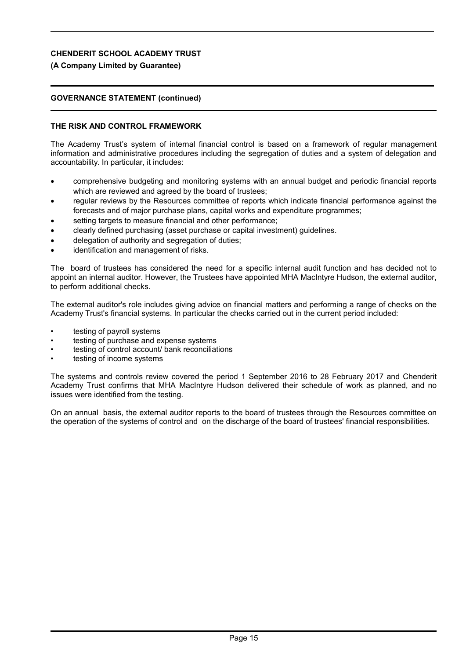# **(A Company Limited by Guarantee)**

# **GOVERNANCE STATEMENT (continued)**

# **THE RISK AND CONTROL FRAMEWORK**

The Academy Trust's system of internal financial control is based on a framework of regular management information and administrative procedures including the segregation of duties and a system of delegation and accountability. In particular, it includes:

- comprehensive budgeting and monitoring systems with an annual budget and periodic financial reports which are reviewed and agreed by the board of trustees;
- regular reviews by the Resources committee of reports which indicate financial performance against the forecasts and of major purchase plans, capital works and expenditure programmes;
- setting targets to measure financial and other performance;
- clearly defined purchasing (asset purchase or capital investment) guidelines.
- delegation of authority and segregation of duties;
- identification and management of risks.

The board of trustees has considered the need for a specific internal audit function and has decided not to appoint an internal auditor. However, the Trustees have appointed MHA MacIntyre Hudson, the external auditor, to perform additional checks.

The external auditor's role includes giving advice on financial matters and performing a range of checks on the Academy Trust's financial systems. In particular the checks carried out in the current period included:

- testing of payroll systems
- testing of purchase and expense systems
- testing of control account/ bank reconciliations
- testing of income systems

The systems and controls review covered the period 1 September 2016 to 28 February 2017 and Chenderit Academy Trust confirms that MHA MacIntyre Hudson delivered their schedule of work as planned, and no issues were identified from the testing.

On an annual basis, the external auditor reports to the board of trustees through the Resources committee on the operation of the systems of control and on the discharge of the board of trustees' financial responsibilities.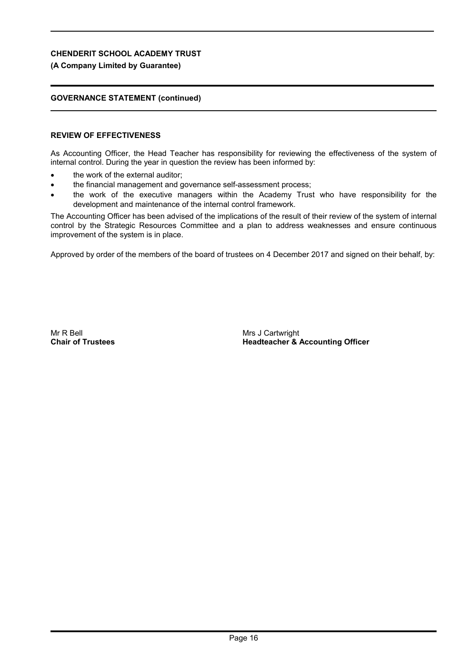# **(A Company Limited by Guarantee)**

# **GOVERNANCE STATEMENT (continued)**

# **REVIEW OF EFFECTIVENESS**

As Accounting Officer, the Head Teacher has responsibility for reviewing the effectiveness of the system of internal control. During the year in question the review has been informed by:

- the work of the external auditor;
- the financial management and governance self-assessment process;
- the work of the executive managers within the Academy Trust who have responsibility for the development and maintenance of the internal control framework.

The Accounting Officer has been advised of the implications of the result of their review of the system of internal control by the Strategic Resources Committee and a plan to address weaknesses and ensure continuous improvement of the system is in place.

Approved by order of the members of the board of trustees on 4 December 2017 and signed on their behalf, by:

Mr R Bell **Chair of Trustees** Mrs J Cartwright **Headteacher & Accounting Officer**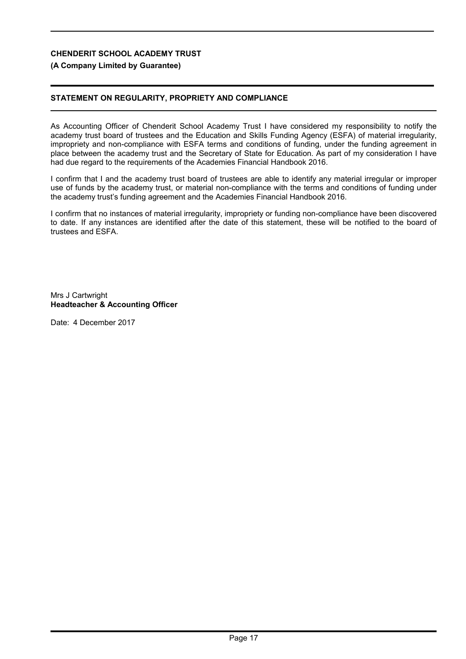## **(A Company Limited by Guarantee)**

# **STATEMENT ON REGULARITY, PROPRIETY AND COMPLIANCE**

As Accounting Officer of Chenderit School Academy Trust I have considered my responsibility to notify the academy trust board of trustees and the Education and Skills Funding Agency (ESFA) of material irregularity, impropriety and non-compliance with ESFA terms and conditions of funding, under the funding agreement in place between the academy trust and the Secretary of State for Education. As part of my consideration I have had due regard to the requirements of the Academies Financial Handbook 2016.

I confirm that I and the academy trust board of trustees are able to identify any material irregular or improper use of funds by the academy trust, or material non-compliance with the terms and conditions of funding under the academy trust's funding agreement and the Academies Financial Handbook 2016.

I confirm that no instances of material irregularity, impropriety or funding non-compliance have been discovered to date. If any instances are identified after the date of this statement, these will be notified to the board of trustees and ESFA.

Mrs J Cartwright **Headteacher & Accounting Officer**

Date: 4 December 2017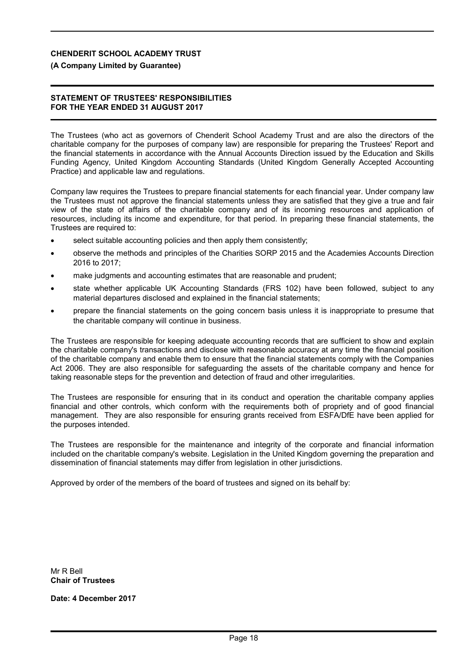#### **(A Company Limited by Guarantee)**

#### **STATEMENT OF TRUSTEES' RESPONSIBILITIES FOR THE YEAR ENDED 31 AUGUST 2017**

The Trustees (who act as governors of Chenderit School Academy Trust and are also the directors of the charitable company for the purposes of company law) are responsible for preparing the Trustees' Report and the financial statements in accordance with the Annual Accounts Direction issued by the Education and Skills Funding Agency, United Kingdom Accounting Standards (United Kingdom Generally Accepted Accounting Practice) and applicable law and regulations.

Company law requires the Trustees to prepare financial statements for each financial year. Under company law the Trustees must not approve the financial statements unless they are satisfied that they give a true and fair view of the state of affairs of the charitable company and of its incoming resources and application of resources, including its income and expenditure, for that period. In preparing these financial statements, the Trustees are required to:

- select suitable accounting policies and then apply them consistently;
- observe the methods and principles of the Charities SORP 2015 and the Academies Accounts Direction 2016 to 2017;
- make judgments and accounting estimates that are reasonable and prudent;
- state whether applicable UK Accounting Standards (FRS 102) have been followed, subject to any material departures disclosed and explained in the financial statements;
- prepare the financial statements on the going concern basis unless it is inappropriate to presume that the charitable company will continue in business.

The Trustees are responsible for keeping adequate accounting records that are sufficient to show and explain the charitable company's transactions and disclose with reasonable accuracy at any time the financial position of the charitable company and enable them to ensure that the financial statements comply with the Companies Act 2006. They are also responsible for safeguarding the assets of the charitable company and hence for taking reasonable steps for the prevention and detection of fraud and other irregularities.

The Trustees are responsible for ensuring that in its conduct and operation the charitable company applies financial and other controls, which conform with the requirements both of propriety and of good financial management. They are also responsible for ensuring grants received from ESFA/DfE have been applied for the purposes intended.

The Trustees are responsible for the maintenance and integrity of the corporate and financial information included on the charitable company's website. Legislation in the United Kingdom governing the preparation and dissemination of financial statements may differ from legislation in other jurisdictions.

Approved by order of the members of the board of trustees and signed on its behalf by:

Mr R Bell **Chair of Trustees**

**Date: 4 December 2017**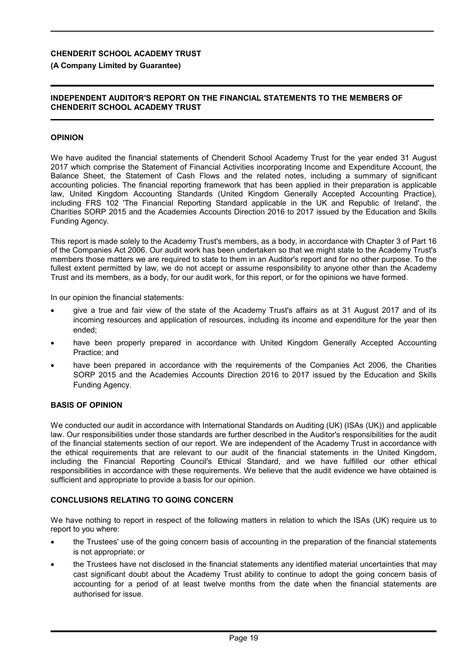# **(A Company Limited by Guarantee)**

# **INDEPENDENT AUDITOR'S REPORT ON THE FINANCIAL STATEMENTS TO THE MEMBERS OF CHENDERIT SCHOOL ACADEMY TRUST**

# **OPINION**

We have audited the financial statements of Chenderit School Academy Trust for the year ended 31 August 2017 which comprise the Statement of Financial Activities incorporating Income and Expenditure Account, the Balance Sheet, the Statement of Cash Flows and the related notes, including a summary of significant accounting policies. The financial reporting framework that has been applied in their preparation is applicable law, United Kingdom Accounting Standards (United Kingdom Generally Accepted Accounting Practice), including FRS 102 'The Financial Reporting Standard applicable in the UK and Republic of Ireland', the Charities SORP 2015 and the Academies Accounts Direction 2016 to 2017 issued by the Education and Skills Funding Agency.

This report is made solely to the Academy Trust's members, as a body, in accordance with Chapter 3 of Part 16 of the Companies Act 2006. Our audit work has been undertaken so that we might state to the Academy Trust's members those matters we are required to state to them in an Auditor's report and for no other purpose. To the fullest extent permitted by law, we do not accept or assume responsibility to anyone other than the Academy Trust and its members, as a body, for our audit work, for this report, or for the opinions we have formed.

In our opinion the financial statements:

- give a true and fair view of the state of the Academy Trust's affairs as at 31 August 2017 and of its incoming resources and application of resources, including its income and expenditure for the year then ended;
- have been properly prepared in accordance with United Kingdom Generally Accepted Accounting Practice; and
- have been prepared in accordance with the requirements of the Companies Act 2006, the Charities SORP 2015 and the Academies Accounts Direction 2016 to 2017 issued by the Education and Skills Funding Agency.

#### **BASIS OF OPINION**

We conducted our audit in accordance with International Standards on Auditing (UK) (ISAs (UK)) and applicable law. Our responsibilities under those standards are further described in the Auditor's responsibilities for the audit of the financial statements section of our report. We are independent of the Academy Trust in accordance with the ethical requirements that are relevant to our audit of the financial statements in the United Kingdom, including the Financial Reporting Council's Ethical Standard, and we have fulfilled our other ethical responsibilities in accordance with these requirements. We believe that the audit evidence we have obtained is sufficient and appropriate to provide a basis for our opinion.

#### **CONCLUSIONS RELATING TO GOING CONCERN**

We have nothing to report in respect of the following matters in relation to which the ISAs (UK) require us to report to you where:

- the Trustees' use of the going concern basis of accounting in the preparation of the financial statements is not appropriate; or
- the Trustees have not disclosed in the financial statements any identified material uncertainties that may cast significant doubt about the Academy Trust ability to continue to adopt the going concern basis of accounting for a period of at least twelve months from the date when the financial statements are authorised for issue.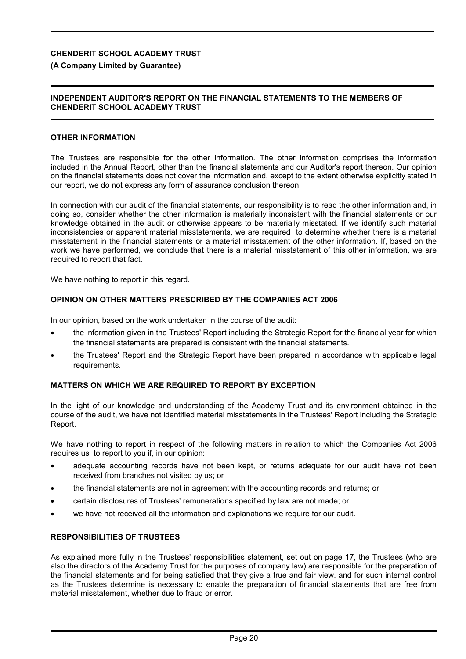### **(A Company Limited by Guarantee)**

#### **INDEPENDENT AUDITOR'S REPORT ON THE FINANCIAL STATEMENTS TO THE MEMBERS OF CHENDERIT SCHOOL ACADEMY TRUST**

#### **OTHER INFORMATION**

The Trustees are responsible for the other information. The other information comprises the information included in the Annual Report, other than the financial statements and our Auditor's report thereon. Our opinion on the financial statements does not cover the information and, except to the extent otherwise explicitly stated in our report, we do not express any form of assurance conclusion thereon.

In connection with our audit of the financial statements, our responsibility is to read the other information and, in doing so, consider whether the other information is materially inconsistent with the financial statements or our knowledge obtained in the audit or otherwise appears to be materially misstated. If we identify such material inconsistencies or apparent material misstatements, we are required to determine whether there is a material misstatement in the financial statements or a material misstatement of the other information. If, based on the work we have performed, we conclude that there is a material misstatement of this other information, we are required to report that fact.

We have nothing to report in this regard.

#### **OPINION ON OTHER MATTERS PRESCRIBED BY THE COMPANIES ACT 2006**

In our opinion, based on the work undertaken in the course of the audit:

- the information given in the Trustees' Report including the Strategic Report for the financial year for which the financial statements are prepared is consistent with the financial statements.
- the Trustees' Report and the Strategic Report have been prepared in accordance with applicable legal requirements.

### **MATTERS ON WHICH WE ARE REQUIRED TO REPORT BY EXCEPTION**

In the light of our knowledge and understanding of the Academy Trust and its environment obtained in the course of the audit, we have not identified material misstatements in the Trustees' Report including the Strategic Report.

We have nothing to report in respect of the following matters in relation to which the Companies Act 2006 requires us to report to you if, in our opinion:

- adequate accounting records have not been kept, or returns adequate for our audit have not been received from branches not visited by us; or
- the financial statements are not in agreement with the accounting records and returns; or
- certain disclosures of Trustees' remunerations specified by law are not made; or
- we have not received all the information and explanations we require for our audit.

#### **RESPONSIBILITIES OF TRUSTEES**

As explained more fully in the Trustees' responsibilities statement, set out on page 17, the Trustees (who are also the directors of the Academy Trust for the purposes of company law) are responsible for the preparation of the financial statements and for being satisfied that they give a true and fair view. and for such internal control as the Trustees determine is necessary to enable the preparation of financial statements that are free from material misstatement, whether due to fraud or error.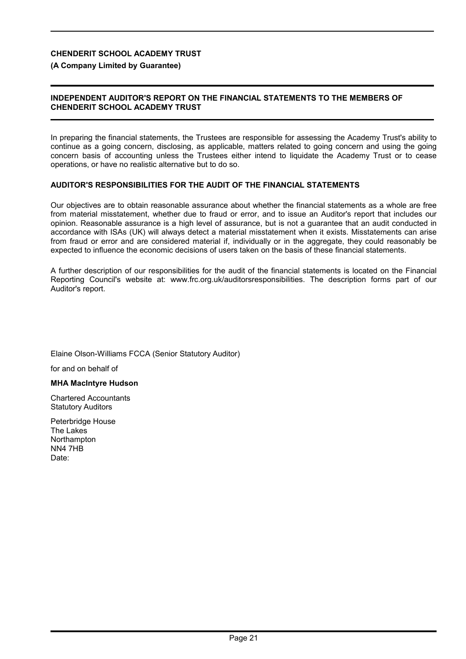# **(A Company Limited by Guarantee)**

# **INDEPENDENT AUDITOR'S REPORT ON THE FINANCIAL STATEMENTS TO THE MEMBERS OF CHENDERIT SCHOOL ACADEMY TRUST**

In preparing the financial statements, the Trustees are responsible for assessing the Academy Trust's ability to continue as a going concern, disclosing, as applicable, matters related to going concern and using the going concern basis of accounting unless the Trustees either intend to liquidate the Academy Trust or to cease operations, or have no realistic alternative but to do so.

# **AUDITOR'S RESPONSIBILITIES FOR THE AUDIT OF THE FINANCIAL STATEMENTS**

Our objectives are to obtain reasonable assurance about whether the financial statements as a whole are free from material misstatement, whether due to fraud or error, and to issue an Auditor's report that includes our opinion. Reasonable assurance is a high level of assurance, but is not a guarantee that an audit conducted in accordance with ISAs (UK) will always detect a material misstatement when it exists. Misstatements can arise from fraud or error and are considered material if, individually or in the aggregate, they could reasonably be expected to influence the economic decisions of users taken on the basis of these financial statements.

A further description of our responsibilities for the audit of the financial statements is located on the Financial Reporting Council's website at: www.frc.org.uk/auditorsresponsibilities. The description forms part of our Auditor's report.

Elaine Olson-Williams FCCA (Senior Statutory Auditor)

for and on behalf of

# **MHA MacIntyre Hudson**

Chartered Accountants Statutory Auditors

Peterbridge House The Lakes **Northampton** NN4 7HB Date: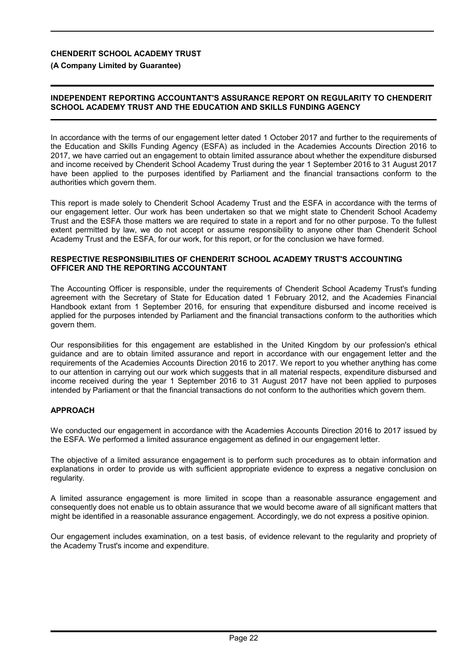**(A Company Limited by Guarantee)**

#### **INDEPENDENT REPORTING ACCOUNTANT'S ASSURANCE REPORT ON REGULARITY TO CHENDERIT SCHOOL ACADEMY TRUST AND THE EDUCATION AND SKILLS FUNDING AGENCY**

In accordance with the terms of our engagement letter dated 1 October 2017 and further to the requirements of the Education and Skills Funding Agency (ESFA) as included in the Academies Accounts Direction 2016 to 2017, we have carried out an engagement to obtain limited assurance about whether the expenditure disbursed and income received by Chenderit School Academy Trust during the year 1 September 2016 to 31 August 2017 have been applied to the purposes identified by Parliament and the financial transactions conform to the authorities which govern them.

This report is made solely to Chenderit School Academy Trust and the ESFA in accordance with the terms of our engagement letter. Our work has been undertaken so that we might state to Chenderit School Academy Trust and the ESFA those matters we are required to state in a report and for no other purpose. To the fullest extent permitted by law, we do not accept or assume responsibility to anyone other than Chenderit School Academy Trust and the ESFA, for our work, for this report, or for the conclusion we have formed.

#### **RESPECTIVE RESPONSIBILITIES OF CHENDERIT SCHOOL ACADEMY TRUST'S ACCOUNTING OFFICER AND THE REPORTING ACCOUNTANT**

The Accounting Officer is responsible, under the requirements of Chenderit School Academy Trust's funding agreement with the Secretary of State for Education dated 1 February 2012, and the Academies Financial Handbook extant from 1 September 2016, for ensuring that expenditure disbursed and income received is applied for the purposes intended by Parliament and the financial transactions conform to the authorities which govern them.

Our responsibilities for this engagement are established in the United Kingdom by our profession's ethical guidance and are to obtain limited assurance and report in accordance with our engagement letter and the requirements of the Academies Accounts Direction 2016 to 2017. We report to you whether anything has come to our attention in carrying out our work which suggests that in all material respects, expenditure disbursed and income received during the year 1 September 2016 to 31 August 2017 have not been applied to purposes intended by Parliament or that the financial transactions do not conform to the authorities which govern them.

#### **APPROACH**

We conducted our engagement in accordance with the Academies Accounts Direction 2016 to 2017 issued by the ESFA. We performed a limited assurance engagement as defined in our engagement letter.

The objective of a limited assurance engagement is to perform such procedures as to obtain information and explanations in order to provide us with sufficient appropriate evidence to express a negative conclusion on regularity.

A limited assurance engagement is more limited in scope than a reasonable assurance engagement and consequently does not enable us to obtain assurance that we would become aware of all significant matters that might be identified in a reasonable assurance engagement. Accordingly, we do not express a positive opinion.

Our engagement includes examination, on a test basis, of evidence relevant to the regularity and propriety of the Academy Trust's income and expenditure.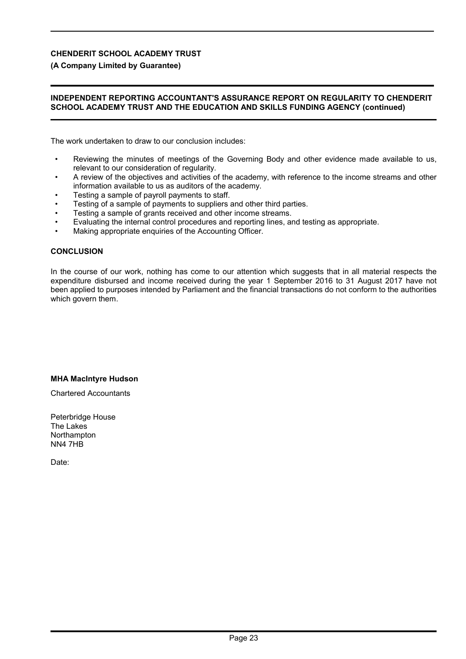### **(A Company Limited by Guarantee)**

#### **INDEPENDENT REPORTING ACCOUNTANT'S ASSURANCE REPORT ON REGULARITY TO CHENDERIT SCHOOL ACADEMY TRUST AND THE EDUCATION AND SKILLS FUNDING AGENCY (continued)**

The work undertaken to draw to our conclusion includes:

- Reviewing the minutes of meetings of the Governing Body and other evidence made available to us, relevant to our consideration of regularity.
- A review of the objectives and activities of the academy, with reference to the income streams and other information available to us as auditors of the academy.
- Testing a sample of payroll payments to staff.
- Testing of a sample of payments to suppliers and other third parties.
- Testing a sample of grants received and other income streams.
- Evaluating the internal control procedures and reporting lines, and testing as appropriate.
- Making appropriate enquiries of the Accounting Officer.

#### **CONCLUSION**

In the course of our work, nothing has come to our attention which suggests that in all material respects the expenditure disbursed and income received during the year 1 September 2016 to 31 August 2017 have not been applied to purposes intended by Parliament and the financial transactions do not conform to the authorities which govern them.

#### **MHA MacIntyre Hudson**

Chartered Accountants

Peterbridge House The Lakes **Northampton** NN4 7HB

Date: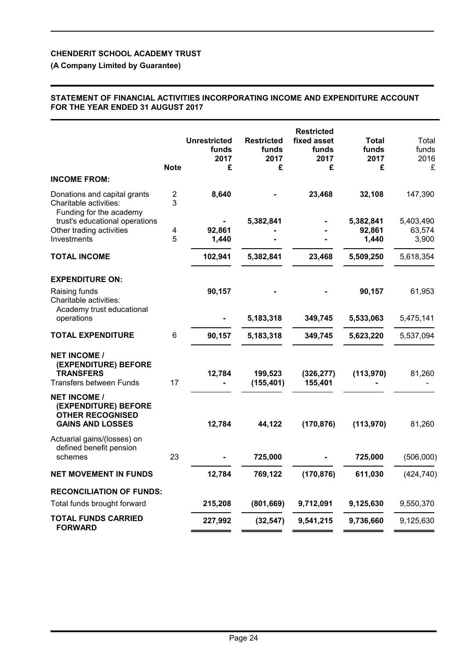# **(A Company Limited by Guarantee)**

#### **STATEMENT OF FINANCIAL ACTIVITIES INCORPORATING INCOME AND EXPENDITURE ACCOUNT FOR THE YEAR ENDED 31 AUGUST 2017**

|                                                                                                   | <b>Note</b>                  | <b>Unrestricted</b><br>funds<br>2017<br>£ | <b>Restricted</b><br>funds<br>2017<br>£ | <b>Restricted</b><br>fixed asset<br>funds<br>2017<br>£ | <b>Total</b><br>funds<br>2017<br>£ | Total<br>funds<br>2016<br>£ |
|---------------------------------------------------------------------------------------------------|------------------------------|-------------------------------------------|-----------------------------------------|--------------------------------------------------------|------------------------------------|-----------------------------|
| <b>INCOME FROM:</b>                                                                               |                              |                                           |                                         |                                                        |                                    |                             |
| Donations and capital grants<br>Charitable activities:<br>Funding for the academy                 | $\overline{\mathbf{c}}$<br>3 | 8,640                                     |                                         | 23,468                                                 | 32,108                             | 147,390                     |
| trust's educational operations                                                                    |                              |                                           | 5,382,841                               |                                                        | 5,382,841                          | 5,403,490                   |
| Other trading activities<br>Investments                                                           | 4<br>5                       | 92,861<br>1,440                           |                                         |                                                        | 92,861<br>1,440                    | 63,574<br>3,900             |
| <b>TOTAL INCOME</b>                                                                               |                              | 102,941                                   | 5,382,841                               | 23,468                                                 | 5,509,250                          | 5,618,354                   |
| <b>EXPENDITURE ON:</b>                                                                            |                              |                                           |                                         |                                                        |                                    |                             |
| Raising funds<br>Charitable activities:<br>Academy trust educational                              |                              | 90,157                                    |                                         |                                                        | 90,157                             | 61,953                      |
| operations                                                                                        |                              |                                           | 5,183,318                               | 349,745                                                | 5,533,063                          | 5,475,141                   |
| <b>TOTAL EXPENDITURE</b>                                                                          | 6                            | 90,157                                    | 5,183,318                               | 349,745                                                | 5,623,220                          | 5,537,094                   |
| <b>NET INCOME /</b><br>(EXPENDITURE) BEFORE<br><b>TRANSFERS</b><br><b>Transfers between Funds</b> | 17                           | 12,784                                    | 199,523<br>(155, 401)                   | (326, 277)<br>155,401                                  | (113,970)                          | 81,260                      |
| <b>NET INCOME /</b><br>(EXPENDITURE) BEFORE<br><b>OTHER RECOGNISED</b><br><b>GAINS AND LOSSES</b> |                              | 12,784                                    | 44,122                                  | (170, 876)                                             | (113,970)                          | 81,260                      |
| Actuarial gains/(losses) on<br>defined benefit pension<br>schemes                                 | 23                           |                                           | 725,000                                 |                                                        | 725,000                            | (506,000)                   |
|                                                                                                   |                              |                                           |                                         |                                                        |                                    |                             |
| <b>NET MOVEMENT IN FUNDS</b>                                                                      |                              | 12,784                                    | 769,122                                 | (170, 876)                                             | 611,030                            | (424, 740)                  |
| <b>RECONCILIATION OF FUNDS:</b>                                                                   |                              |                                           |                                         |                                                        |                                    |                             |
| Total funds brought forward                                                                       |                              | 215,208                                   | (801, 669)                              | 9,712,091                                              | 9,125,630                          | 9,550,370                   |
| <b>TOTAL FUNDS CARRIED</b><br><b>FORWARD</b>                                                      |                              | 227,992                                   | (32, 547)                               | 9,541,215                                              | 9,736,660                          | 9,125,630                   |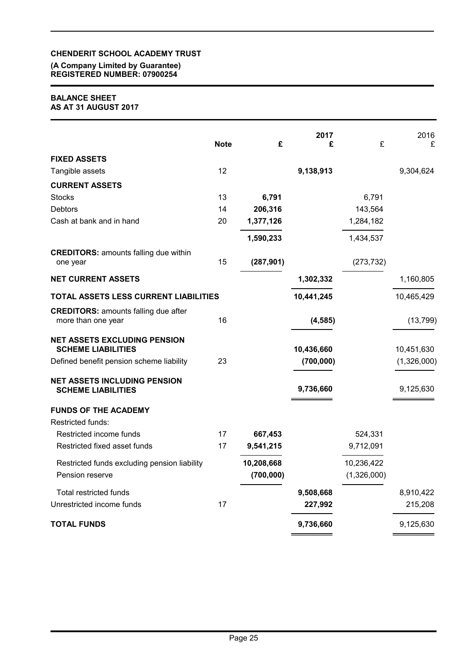#### **(A Company Limited by Guarantee) REGISTERED NUMBER: 07900254**

### **BALANCE SHEET AS AT 31 AUGUST 2017**

|                                                                   | <b>Note</b> | £          | 2017<br>£  | £           | 2016<br>£   |
|-------------------------------------------------------------------|-------------|------------|------------|-------------|-------------|
| <b>FIXED ASSETS</b>                                               |             |            |            |             |             |
| Tangible assets                                                   | 12          |            | 9,138,913  |             | 9,304,624   |
| <b>CURRENT ASSETS</b>                                             |             |            |            |             |             |
| <b>Stocks</b>                                                     | 13          | 6,791      |            | 6,791       |             |
| <b>Debtors</b>                                                    | 14          | 206,316    |            | 143,564     |             |
| Cash at bank and in hand                                          | 20          | 1,377,126  |            | 1,284,182   |             |
|                                                                   |             | 1,590,233  |            | 1,434,537   |             |
| <b>CREDITORS: amounts falling due within</b><br>one year          | 15          | (287, 901) |            | (273, 732)  |             |
| <b>NET CURRENT ASSETS</b>                                         |             |            | 1,302,332  |             | 1,160,805   |
| TOTAL ASSETS LESS CURRENT LIABILITIES                             |             |            | 10,441,245 |             | 10,465,429  |
| <b>CREDITORS: amounts falling due after</b><br>more than one year | 16          |            | (4, 585)   |             | (13, 799)   |
| <b>NET ASSETS EXCLUDING PENSION</b><br><b>SCHEME LIABILITIES</b>  |             |            | 10,436,660 |             | 10,451,630  |
| Defined benefit pension scheme liability                          | 23          |            | (700,000)  |             | (1,326,000) |
| <b>NET ASSETS INCLUDING PENSION</b><br><b>SCHEME LIABILITIES</b>  |             |            | 9,736,660  |             | 9,125,630   |
| <b>FUNDS OF THE ACADEMY</b>                                       |             |            |            |             |             |
| Restricted funds:                                                 |             |            |            |             |             |
| Restricted income funds                                           | 17          | 667,453    |            | 524,331     |             |
| Restricted fixed asset funds                                      | 17          | 9,541,215  |            | 9,712,091   |             |
| Restricted funds excluding pension liability                      |             | 10,208,668 |            | 10,236,422  |             |
| Pension reserve                                                   |             | (700, 000) |            | (1,326,000) |             |
| <b>Total restricted funds</b>                                     |             |            | 9,508,668  |             | 8,910,422   |
| Unrestricted income funds                                         | 17          |            | 227,992    |             | 215,208     |
| <b>TOTAL FUNDS</b>                                                |             |            | 9,736,660  |             | 9,125,630   |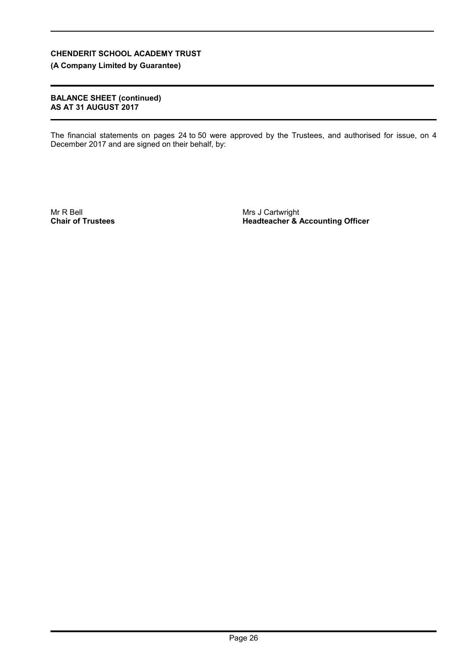**(A Company Limited by Guarantee)**

### **BALANCE SHEET (continued) AS AT 31 AUGUST 2017**

The financial statements on pages 24 to 50 were approved by the Trustees, and authorised for issue, on 4 December 2017 and are signed on their behalf, by:

Mr R Bell **Chair of Trustees** Mrs J Cartwright **Headteacher & Accounting Officer**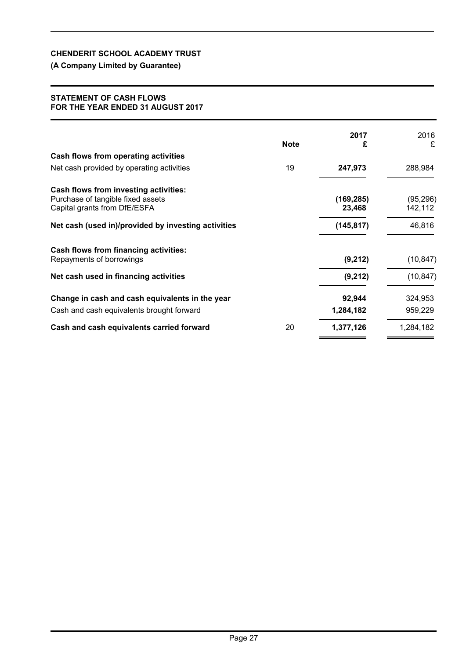# **(A Company Limited by Guarantee)**

#### **STATEMENT OF CASH FLOWS FOR THE YEAR ENDED 31 AUGUST 2017**

|                                                                                                            | <b>Note</b> | 2017<br>£            | 2016<br>£            |
|------------------------------------------------------------------------------------------------------------|-------------|----------------------|----------------------|
| Cash flows from operating activities                                                                       |             |                      |                      |
| Net cash provided by operating activities                                                                  | 19          | 247,973              | 288,984              |
| Cash flows from investing activities:<br>Purchase of tangible fixed assets<br>Capital grants from DfE/ESFA |             | (169, 285)<br>23,468 | (95, 296)<br>142,112 |
| Net cash (used in)/provided by investing activities                                                        |             | (145, 817)           | 46,816               |
| <b>Cash flows from financing activities:</b><br>Repayments of borrowings                                   |             | (9,212)              | (10, 847)            |
| Net cash used in financing activities                                                                      |             | (9,212)              | (10, 847)            |
| Change in cash and cash equivalents in the year<br>Cash and cash equivalents brought forward               |             | 92,944<br>1,284,182  | 324,953<br>959,229   |
| Cash and cash equivalents carried forward                                                                  | 20          | 1,377,126            | 1,284,182            |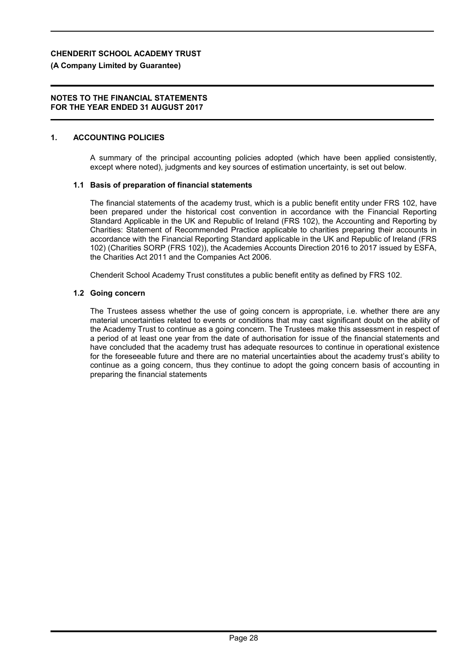# **(A Company Limited by Guarantee)**

### **NOTES TO THE FINANCIAL STATEMENTS FOR THE YEAR ENDED 31 AUGUST 2017**

# **1. ACCOUNTING POLICIES**

A summary of the principal accounting policies adopted (which have been applied consistently, except where noted), judgments and key sources of estimation uncertainty, is set out below.

# **1.1 Basis of preparation of financial statements**

The financial statements of the academy trust, which is a public benefit entity under FRS 102, have been prepared under the historical cost convention in accordance with the Financial Reporting Standard Applicable in the UK and Republic of Ireland (FRS 102), the Accounting and Reporting by Charities: Statement of Recommended Practice applicable to charities preparing their accounts in accordance with the Financial Reporting Standard applicable in the UK and Republic of Ireland (FRS 102) (Charities SORP (FRS 102)), the Academies Accounts Direction 2016 to 2017 issued by ESFA, the Charities Act 2011 and the Companies Act 2006.

Chenderit School Academy Trust constitutes a public benefit entity as defined by FRS 102.

# **1.2 Going concern**

The Trustees assess whether the use of going concern is appropriate, i.e. whether there are any material uncertainties related to events or conditions that may cast significant doubt on the ability of the Academy Trust to continue as a going concern. The Trustees make this assessment in respect of a period of at least one year from the date of authorisation for issue of the financial statements and have concluded that the academy trust has adequate resources to continue in operational existence for the foreseeable future and there are no material uncertainties about the academy trust's ability to continue as a going concern, thus they continue to adopt the going concern basis of accounting in preparing the financial statements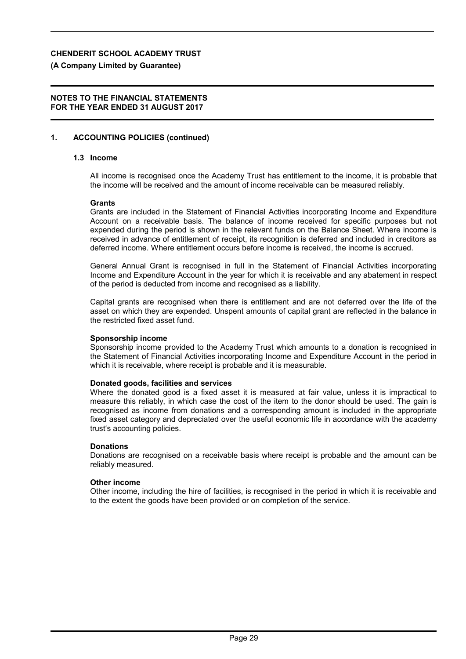# **(A Company Limited by Guarantee)**

### **NOTES TO THE FINANCIAL STATEMENTS FOR THE YEAR ENDED 31 AUGUST 2017**

# **1. ACCOUNTING POLICIES (continued)**

# **1.3 Income**

All income is recognised once the Academy Trust has entitlement to the income, it is probable that the income will be received and the amount of income receivable can be measured reliably.

#### **Grants**

Grants are included in the Statement of Financial Activities incorporating Income and Expenditure Account on a receivable basis. The balance of income received for specific purposes but not expended during the period is shown in the relevant funds on the Balance Sheet. Where income is received in advance of entitlement of receipt, its recognition is deferred and included in creditors as deferred income. Where entitlement occurs before income is received, the income is accrued.

General Annual Grant is recognised in full in the Statement of Financial Activities incorporating Income and Expenditure Account in the year for which it is receivable and any abatement in respect of the period is deducted from income and recognised as a liability.

Capital grants are recognised when there is entitlement and are not deferred over the life of the asset on which they are expended. Unspent amounts of capital grant are reflected in the balance in the restricted fixed asset fund.

#### **Sponsorship income**

Sponsorship income provided to the Academy Trust which amounts to a donation is recognised in the Statement of Financial Activities incorporating Income and Expenditure Account in the period in which it is receivable, where receipt is probable and it is measurable.

#### **Donated goods, facilities and services**

Where the donated good is a fixed asset it is measured at fair value, unless it is impractical to measure this reliably, in which case the cost of the item to the donor should be used. The gain is recognised as income from donations and a corresponding amount is included in the appropriate fixed asset category and depreciated over the useful economic life in accordance with the academy trust's accounting policies.

#### **Donations**

Donations are recognised on a receivable basis where receipt is probable and the amount can be reliably measured.

#### **Other income**

Other income, including the hire of facilities, is recognised in the period in which it is receivable and to the extent the goods have been provided or on completion of the service.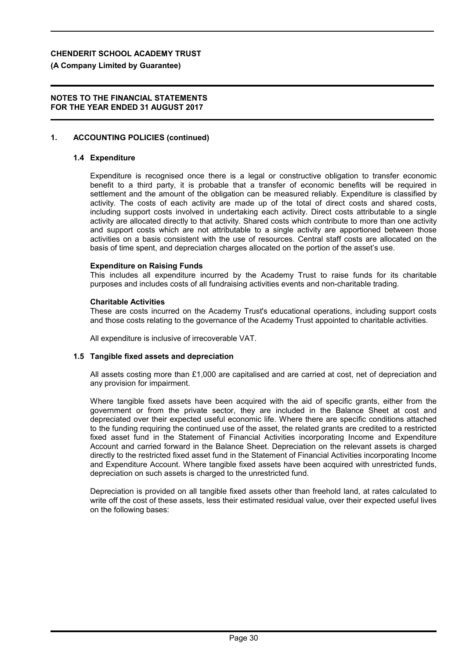#### **(A Company Limited by Guarantee)**

#### **NOTES TO THE FINANCIAL STATEMENTS FOR THE YEAR ENDED 31 AUGUST 2017**

#### **1. ACCOUNTING POLICIES (continued)**

#### **1.4 Expenditure**

Expenditure is recognised once there is a legal or constructive obligation to transfer economic benefit to a third party, it is probable that a transfer of economic benefits will be required in settlement and the amount of the obligation can be measured reliably. Expenditure is classified by activity. The costs of each activity are made up of the total of direct costs and shared costs, including support costs involved in undertaking each activity. Direct costs attributable to a single activity are allocated directly to that activity. Shared costs which contribute to more than one activity and support costs which are not attributable to a single activity are apportioned between those activities on a basis consistent with the use of resources. Central staff costs are allocated on the basis of time spent, and depreciation charges allocated on the portion of the asset's use.

#### **Expenditure on Raising Funds**

This includes all expenditure incurred by the Academy Trust to raise funds for its charitable purposes and includes costs of all fundraising activities events and non-charitable trading.

#### **Charitable Activities**

These are costs incurred on the Academy Trust's educational operations, including support costs and those costs relating to the governance of the Academy Trust appointed to charitable activities.

All expenditure is inclusive of irrecoverable VAT.

#### **1.5 Tangible fixed assets and depreciation**

All assets costing more than £1,000 are capitalised and are carried at cost, net of depreciation and any provision for impairment.

Where tangible fixed assets have been acquired with the aid of specific grants, either from the government or from the private sector, they are included in the Balance Sheet at cost and depreciated over their expected useful economic life. Where there are specific conditions attached to the funding requiring the continued use of the asset, the related grants are credited to a restricted fixed asset fund in the Statement of Financial Activities incorporating Income and Expenditure Account and carried forward in the Balance Sheet. Depreciation on the relevant assets is charged directly to the restricted fixed asset fund in the Statement of Financial Activities incorporating Income and Expenditure Account. Where tangible fixed assets have been acquired with unrestricted funds, depreciation on such assets is charged to the unrestricted fund.

Depreciation is provided on all tangible fixed assets other than freehold land, at rates calculated to write off the cost of these assets, less their estimated residual value, over their expected useful lives on the following bases: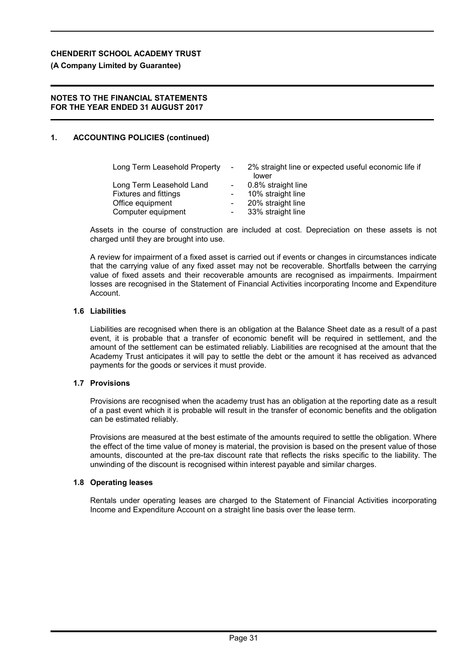# **(A Company Limited by Guarantee)**

## **NOTES TO THE FINANCIAL STATEMENTS FOR THE YEAR ENDED 31 AUGUST 2017**

# **1. ACCOUNTING POLICIES (continued)**

| Long Term Leasehold Property                             | $\sim$ 100 $\mu$                                     | 2% straight line or expected useful economic life if<br>lower |
|----------------------------------------------------------|------------------------------------------------------|---------------------------------------------------------------|
| Long Term Leasehold Land<br><b>Fixtures and fittings</b> | $\sim$                                               | 0.8% straight line<br>10% straight line                       |
| Office equipment<br>Computer equipment                   | $\overline{\phantom{a}}$<br>$\overline{\phantom{a}}$ | 20% straight line<br>33% straight line                        |

Assets in the course of construction are included at cost. Depreciation on these assets is not charged until they are brought into use.

A review for impairment of a fixed asset is carried out if events or changes in circumstances indicate that the carrying value of any fixed asset may not be recoverable. Shortfalls between the carrying value of fixed assets and their recoverable amounts are recognised as impairments. Impairment losses are recognised in the Statement of Financial Activities incorporating Income and Expenditure Account.

#### **1.6 Liabilities**

Liabilities are recognised when there is an obligation at the Balance Sheet date as a result of a past event, it is probable that a transfer of economic benefit will be required in settlement, and the amount of the settlement can be estimated reliably. Liabilities are recognised at the amount that the Academy Trust anticipates it will pay to settle the debt or the amount it has received as advanced payments for the goods or services it must provide.

### **1.7 Provisions**

Provisions are recognised when the academy trust has an obligation at the reporting date as a result of a past event which it is probable will result in the transfer of economic benefits and the obligation can be estimated reliably.

Provisions are measured at the best estimate of the amounts required to settle the obligation. Where the effect of the time value of money is material, the provision is based on the present value of those amounts, discounted at the pre-tax discount rate that reflects the risks specific to the liability. The unwinding of the discount is recognised within interest payable and similar charges.

#### **1.8 Operating leases**

Rentals under operating leases are charged to the Statement of Financial Activities incorporating Income and Expenditure Account on a straight line basis over the lease term.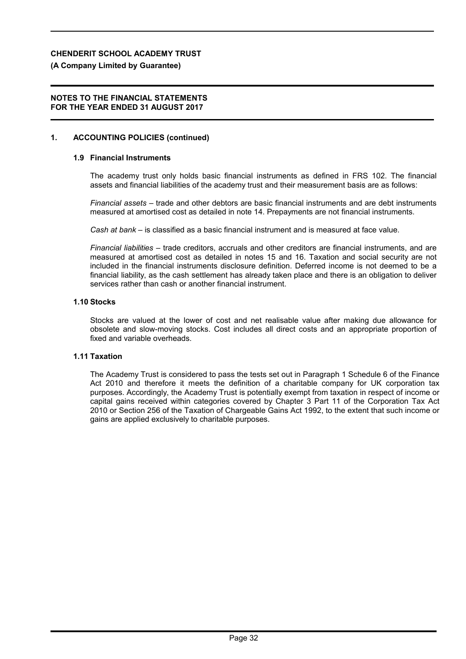# **(A Company Limited by Guarantee)**

### **NOTES TO THE FINANCIAL STATEMENTS FOR THE YEAR ENDED 31 AUGUST 2017**

# **1. ACCOUNTING POLICIES (continued)**

# **1.9 Financial Instruments**

The academy trust only holds basic financial instruments as defined in FRS 102. The financial assets and financial liabilities of the academy trust and their measurement basis are as follows:

*Financial assets* – trade and other debtors are basic financial instruments and are debt instruments measured at amortised cost as detailed in note 14. Prepayments are not financial instruments.

*Cash at bank* – is classified as a basic financial instrument and is measured at face value.

*Financial liabilities* – trade creditors, accruals and other creditors are financial instruments, and are measured at amortised cost as detailed in notes 15 and 16. Taxation and social security are not included in the financial instruments disclosure definition. Deferred income is not deemed to be a financial liability, as the cash settlement has already taken place and there is an obligation to deliver services rather than cash or another financial instrument.

#### **1.10 Stocks**

Stocks are valued at the lower of cost and net realisable value after making due allowance for obsolete and slow-moving stocks. Cost includes all direct costs and an appropriate proportion of fixed and variable overheads.

#### **1.11 Taxation**

The Academy Trust is considered to pass the tests set out in Paragraph 1 Schedule 6 of the Finance Act 2010 and therefore it meets the definition of a charitable company for UK corporation tax purposes. Accordingly, the Academy Trust is potentially exempt from taxation in respect of income or capital gains received within categories covered by Chapter 3 Part 11 of the Corporation Tax Act 2010 or Section 256 of the Taxation of Chargeable Gains Act 1992, to the extent that such income or gains are applied exclusively to charitable purposes.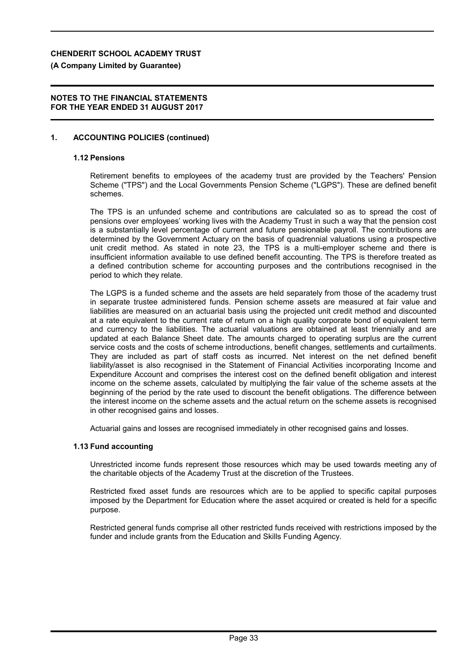#### **(A Company Limited by Guarantee)**

#### **NOTES TO THE FINANCIAL STATEMENTS FOR THE YEAR ENDED 31 AUGUST 2017**

### **1. ACCOUNTING POLICIES (continued)**

#### **1.12 Pensions**

Retirement benefits to employees of the academy trust are provided by the Teachers' Pension Scheme ("TPS") and the Local Governments Pension Scheme ("LGPS"). These are defined benefit schemes.

The TPS is an unfunded scheme and contributions are calculated so as to spread the cost of pensions over employees' working lives with the Academy Trust in such a way that the pension cost is a substantially level percentage of current and future pensionable payroll. The contributions are determined by the Government Actuary on the basis of quadrennial valuations using a prospective unit credit method. As stated in note 23, the TPS is a multi-employer scheme and there is insufficient information available to use defined benefit accounting. The TPS is therefore treated as a defined contribution scheme for accounting purposes and the contributions recognised in the period to which they relate.

The LGPS is a funded scheme and the assets are held separately from those of the academy trust in separate trustee administered funds. Pension scheme assets are measured at fair value and liabilities are measured on an actuarial basis using the projected unit credit method and discounted at a rate equivalent to the current rate of return on a high quality corporate bond of equivalent term and currency to the liabilities. The actuarial valuations are obtained at least triennially and are updated at each Balance Sheet date. The amounts charged to operating surplus are the current service costs and the costs of scheme introductions, benefit changes, settlements and curtailments. They are included as part of staff costs as incurred. Net interest on the net defined benefit liability/asset is also recognised in the Statement of Financial Activities incorporating Income and Expenditure Account and comprises the interest cost on the defined benefit obligation and interest income on the scheme assets, calculated by multiplying the fair value of the scheme assets at the beginning of the period by the rate used to discount the benefit obligations. The difference between the interest income on the scheme assets and the actual return on the scheme assets is recognised in other recognised gains and losses.

Actuarial gains and losses are recognised immediately in other recognised gains and losses.

#### **1.13 Fund accounting**

Unrestricted income funds represent those resources which may be used towards meeting any of the charitable objects of the Academy Trust at the discretion of the Trustees.

Restricted fixed asset funds are resources which are to be applied to specific capital purposes imposed by the Department for Education where the asset acquired or created is held for a specific purpose.

Restricted general funds comprise all other restricted funds received with restrictions imposed by the funder and include grants from the Education and Skills Funding Agency.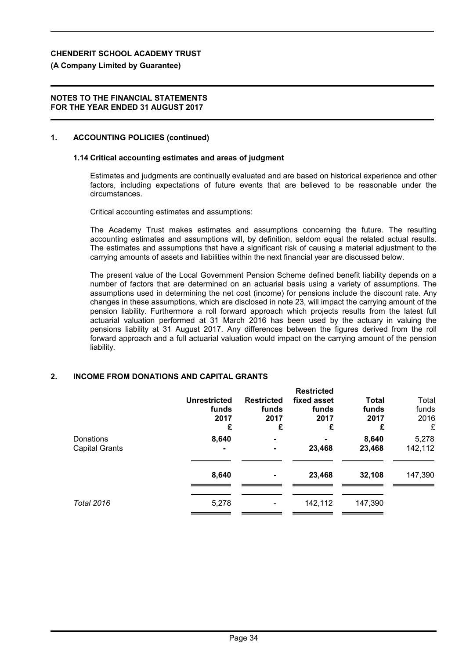# **(A Company Limited by Guarantee)**

### **NOTES TO THE FINANCIAL STATEMENTS FOR THE YEAR ENDED 31 AUGUST 2017**

# **1. ACCOUNTING POLICIES (continued)**

# **1.14 Critical accounting estimates and areas of judgment**

Estimates and judgments are continually evaluated and are based on historical experience and other factors, including expectations of future events that are believed to be reasonable under the circumstances.

Critical accounting estimates and assumptions:

The Academy Trust makes estimates and assumptions concerning the future. The resulting accounting estimates and assumptions will, by definition, seldom equal the related actual results. The estimates and assumptions that have a significant risk of causing a material adjustment to the carrying amounts of assets and liabilities within the next financial year are discussed below.

The present value of the Local Government Pension Scheme defined benefit liability depends on a number of factors that are determined on an actuarial basis using a variety of assumptions. The assumptions used in determining the net cost (income) for pensions include the discount rate. Any changes in these assumptions, which are disclosed in note 23, will impact the carrying amount of the pension liability. Furthermore a roll forward approach which projects results from the latest full actuarial valuation performed at 31 March 2016 has been used by the actuary in valuing the pensions liability at 31 August 2017. Any differences between the figures derived from the roll forward approach and a full actuarial valuation would impact on the carrying amount of the pension liability.

# **2. INCOME FROM DONATIONS AND CAPITAL GRANTS**

|                                    | <b>Unrestricted</b><br>funds<br>2017<br>£ | <b>Restricted</b><br>funds<br>2017<br>£ | <b>Restricted</b><br>fixed asset<br>funds<br>2017<br>£ | <b>Total</b><br>funds<br>2017<br>£ | Total<br>funds<br>2016<br>£ |
|------------------------------------|-------------------------------------------|-----------------------------------------|--------------------------------------------------------|------------------------------------|-----------------------------|
| Donations<br><b>Capital Grants</b> | 8,640<br>$\blacksquare$                   |                                         | 23,468                                                 | 8,640<br>23,468                    | 5,278<br>142,112            |
|                                    | 8,640                                     |                                         | 23,468                                                 | 32,108                             | 147,390                     |
| <b>Total 2016</b>                  | 5,278                                     |                                         | 142,112                                                | 147,390                            |                             |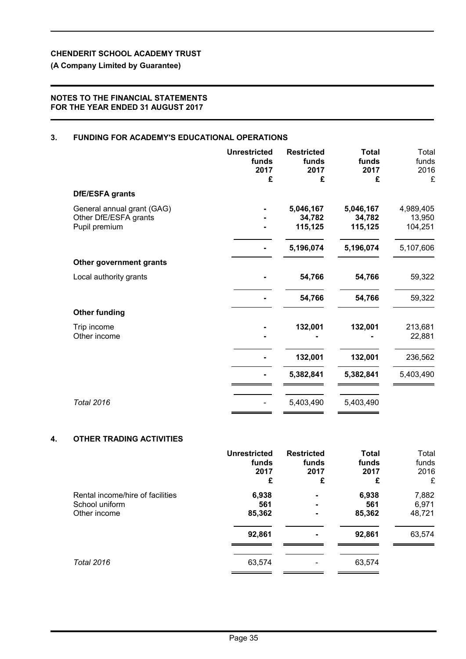# **(A Company Limited by Guarantee)**

### **NOTES TO THE FINANCIAL STATEMENTS FOR THE YEAR ENDED 31 AUGUST 2017**

# **3. FUNDING FOR ACADEMY'S EDUCATIONAL OPERATIONS**

|                                                                      | <b>Unrestricted</b><br>funds<br>2017<br>£ | <b>Restricted</b><br>funds<br>2017<br>£ | <b>Total</b><br>funds<br>2017<br>£ | Total<br>funds<br>2016<br>£    |
|----------------------------------------------------------------------|-------------------------------------------|-----------------------------------------|------------------------------------|--------------------------------|
| DfE/ESFA grants                                                      |                                           |                                         |                                    |                                |
| General annual grant (GAG)<br>Other DfE/ESFA grants<br>Pupil premium |                                           | 5,046,167<br>34,782<br>115,125          | 5,046,167<br>34,782<br>115,125     | 4,989,405<br>13,950<br>104,251 |
|                                                                      |                                           | 5,196,074                               | 5,196,074                          | 5,107,606                      |
| Other government grants                                              |                                           |                                         |                                    |                                |
| Local authority grants                                               |                                           | 54,766                                  | 54,766                             | 59,322                         |
|                                                                      |                                           | 54,766                                  | 54,766                             | 59,322                         |
| <b>Other funding</b>                                                 |                                           |                                         |                                    |                                |
| Trip income<br>Other income                                          |                                           | 132,001                                 | 132,001                            | 213,681<br>22,881              |
|                                                                      |                                           | 132,001                                 | 132,001                            | 236,562                        |
|                                                                      |                                           | 5,382,841                               | 5,382,841                          | 5,403,490                      |
| <b>Total 2016</b>                                                    |                                           | 5,403,490                               | 5,403,490                          |                                |
|                                                                      |                                           |                                         |                                    |                                |

### **4. OTHER TRADING ACTIVITIES**

|                                  | <b>Unrestricted</b> | <b>Restricted</b> | <b>Total</b> | Total  |
|----------------------------------|---------------------|-------------------|--------------|--------|
|                                  | funds               | funds             | funds        | funds  |
|                                  | 2017                | 2017              | 2017         | 2016   |
|                                  | £                   | £                 | £            | £      |
| Rental income/hire of facilities | 6,938               | $\blacksquare$    | 6,938        | 7,882  |
| School uniform                   | 561                 | $\blacksquare$    | 561          | 6,971  |
| Other income                     | 85,362              | $\blacksquare$    | 85,362       | 48,721 |
|                                  | 92,861              |                   | 92,861       | 63,574 |
| <b>Total 2016</b>                | 63,574              |                   | 63,574       |        |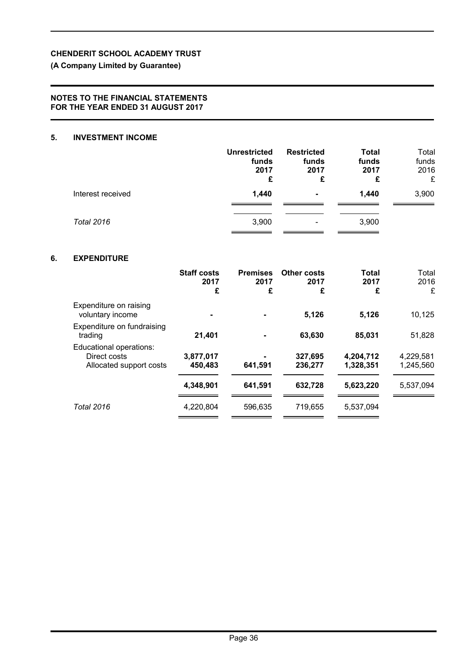# **(A Company Limited by Guarantee)**

## **NOTES TO THE FINANCIAL STATEMENTS FOR THE YEAR ENDED 31 AUGUST 2017**

# **5. INVESTMENT INCOME**

|                   | <b>Unrestricted</b><br>funds<br>2017<br>£ | <b>Restricted</b><br>funds<br>2017<br>£ | <b>Total</b><br>funds<br>2017<br>£ | Total<br>funds<br>2016<br>£ |
|-------------------|-------------------------------------------|-----------------------------------------|------------------------------------|-----------------------------|
| Interest received | 1,440                                     | $\blacksquare$                          | 1,440                              | 3,900                       |
| <b>Total 2016</b> | 3,900                                     | -                                       | 3,900                              |                             |

### **6. EXPENDITURE**

|                                                                    | <b>Staff costs</b><br>2017<br>£ | <b>Premises</b><br>2017<br>£ | <b>Other costs</b><br>2017<br>£ | <b>Total</b><br>2017<br>£ | Total<br>2016<br>£     |
|--------------------------------------------------------------------|---------------------------------|------------------------------|---------------------------------|---------------------------|------------------------|
| Expenditure on raising<br>voluntary income                         |                                 |                              | 5,126                           | 5,126                     | 10,125                 |
| Expenditure on fundraising<br>trading                              | 21,401                          |                              | 63,630                          | 85,031                    | 51,828                 |
| Educational operations:<br>Direct costs<br>Allocated support costs | 3,877,017<br>450,483            | 641,591                      | 327,695<br>236,277              | 4,204,712<br>1,328,351    | 4,229,581<br>1,245,560 |
|                                                                    | 4,348,901                       | 641,591                      | 632,728                         | 5,623,220                 | 5,537,094              |
| <b>Total 2016</b>                                                  | 4,220,804                       | 596,635                      | 719,655                         | 5,537,094                 |                        |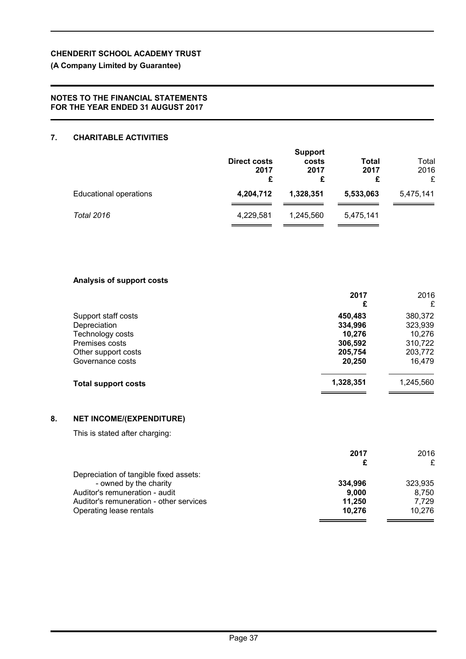# **(A Company Limited by Guarantee)**

### **NOTES TO THE FINANCIAL STATEMENTS FOR THE YEAR ENDED 31 AUGUST 2017**

### **7. CHARITABLE ACTIVITIES**

|                               | Direct costs<br>2017<br>£ | <b>Support</b><br>costs<br>2017<br>£ | Total<br>2017<br>£ | Total<br>2016<br>£ |
|-------------------------------|---------------------------|--------------------------------------|--------------------|--------------------|
| <b>Educational operations</b> | 4,204,712                 | 1,328,351                            | 5,533,063          | 5,475,141          |
| <b>Total 2016</b>             | 4,229,581                 | 1,245,560                            | 5,475,141          |                    |

### **Analysis of support costs**

|                            | 2017<br>£ | 2016<br>£ |
|----------------------------|-----------|-----------|
| Support staff costs        | 450,483   | 380,372   |
| Depreciation               | 334,996   | 323,939   |
| Technology costs           | 10,276    | 10,276    |
| Premises costs             | 306,592   | 310,722   |
| Other support costs        | 205,754   | 203,772   |
| Governance costs           | 20,250    | 16,479    |
| <b>Total support costs</b> | 1,328,351 | 1,245,560 |

## **8. NET INCOME/(EXPENDITURE)**

This is stated after charging:

|                                         | 2017    | 2016    |
|-----------------------------------------|---------|---------|
|                                         |         |         |
| Depreciation of tangible fixed assets:  |         |         |
| - owned by the charity                  | 334.996 | 323,935 |
| Auditor's remuneration - audit          | 9.000   | 8.750   |
| Auditor's remuneration - other services | 11.250  | 7.729   |
| Operating lease rentals                 | 10.276  | 10.276  |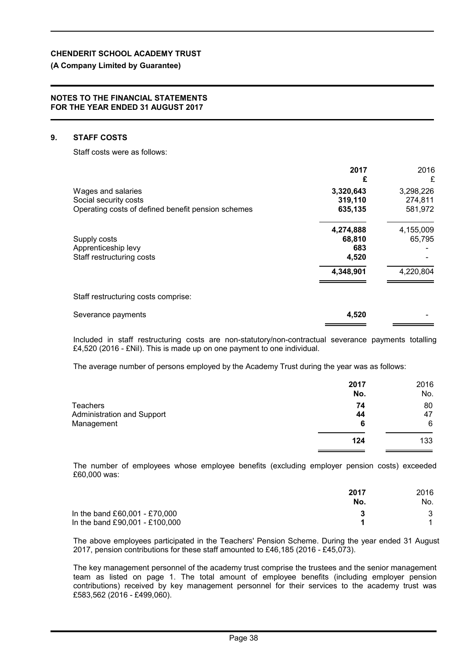# **(A Company Limited by Guarantee)**

#### **NOTES TO THE FINANCIAL STATEMENTS FOR THE YEAR ENDED 31 AUGUST 2017**

# **9. STAFF COSTS**

Staff costs were as follows:

|                                                    | 2017<br>£ | 2016<br>£ |
|----------------------------------------------------|-----------|-----------|
| Wages and salaries                                 | 3,320,643 | 3,298,226 |
| Social security costs                              | 319,110   | 274,811   |
| Operating costs of defined benefit pension schemes | 635,135   | 581,972   |
|                                                    | 4,274,888 | 4,155,009 |
| Supply costs                                       | 68,810    | 65,795    |
| Apprenticeship levy                                | 683       |           |
| Staff restructuring costs                          | 4,520     |           |
|                                                    | 4,348,901 | 4,220,804 |
| Staff restructuring costs comprise:                |           |           |
| Severance payments                                 | 4,520     |           |

Included in staff restructuring costs are non-statutory/non-contractual severance payments totalling £4,520 (2016 - £Nil). This is made up on one payment to one individual.

The average number of persons employed by the Academy Trust during the year was as follows:

|                            | 2017<br>No. | 2016<br>No. |
|----------------------------|-------------|-------------|
| <b>Teachers</b>            | 74          | 80          |
| Administration and Support | 44          | 47          |
| Management                 | 6           | 6           |
|                            | 124         | 133         |

The number of employees whose employee benefits (excluding employer pension costs) exceeded £60,000 was:

|                                | 2017 | 2016 |
|--------------------------------|------|------|
|                                | No.  | No.  |
| In the band £60,001 - £70,000  |      |      |
| In the band £90,001 - £100,000 |      |      |

The above employees participated in the Teachers' Pension Scheme. During the year ended 31 August 2017, pension contributions for these staff amounted to £46,185 (2016 - £45,073).

The key management personnel of the academy trust comprise the trustees and the senior management team as listed on page 1. The total amount of employee benefits (including employer pension contributions) received by key management personnel for their services to the academy trust was £583,562 (2016 - £499,060).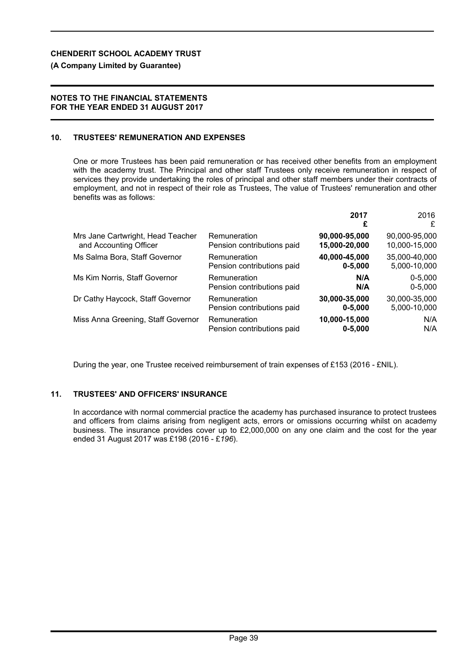# **(A Company Limited by Guarantee)**

## **NOTES TO THE FINANCIAL STATEMENTS FOR THE YEAR ENDED 31 AUGUST 2017**

# **10. TRUSTEES' REMUNERATION AND EXPENSES**

One or more Trustees has been paid remuneration or has received other benefits from an employment with the academy trust. The Principal and other staff Trustees only receive remuneration in respect of services they provide undertaking the roles of principal and other staff members under their contracts of employment, and not in respect of their role as Trustees, The value of Trustees' remuneration and other benefits was as follows:

|                                    |                            | 2017<br>£     | 2016<br>£     |
|------------------------------------|----------------------------|---------------|---------------|
| Mrs Jane Cartwright, Head Teacher  | Remuneration               | 90,000-95,000 | 90,000-95,000 |
| and Accounting Officer             | Pension contributions paid | 15,000-20,000 | 10,000-15,000 |
| Ms Salma Bora, Staff Governor      | Remuneration               | 40,000-45,000 | 35,000-40,000 |
|                                    | Pension contributions paid | $0 - 5,000$   | 5,000-10,000  |
| Ms Kim Norris, Staff Governor      | Remuneration               | N/A           | $0 - 5,000$   |
|                                    | Pension contributions paid | N/A           | $0 - 5,000$   |
| Dr Cathy Haycock, Staff Governor   | Remuneration               | 30,000-35,000 | 30,000-35,000 |
|                                    | Pension contributions paid | $0 - 5,000$   | 5,000-10,000  |
| Miss Anna Greening, Staff Governor | Remuneration               | 10,000-15,000 | N/A           |
|                                    | Pension contributions paid | $0 - 5,000$   | N/A           |

During the year, one Trustee received reimbursement of train expenses of £153 (2016 - £NIL).

# **11. TRUSTEES' AND OFFICERS' INSURANCE**

In accordance with normal commercial practice the academy has purchased insurance to protect trustees and officers from claims arising from negligent acts, errors or omissions occurring whilst on academy business. The insurance provides cover up to £2,000,000 on any one claim and the cost for the year ended 31 August 2017 was £198 (2016 - £*196*).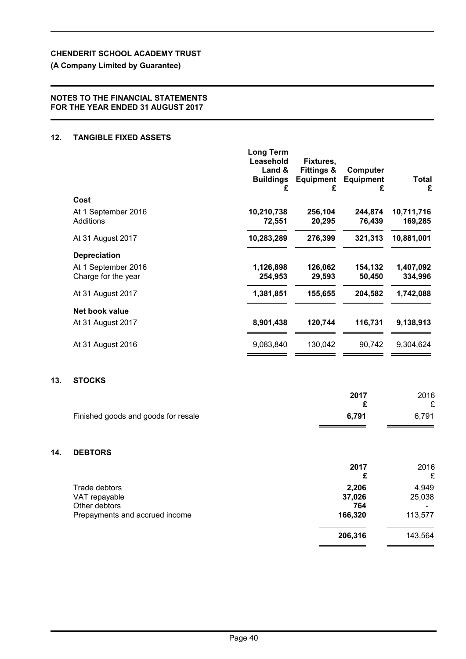# **(A Company Limited by Guarantee)**

### **NOTES TO THE FINANCIAL STATEMENTS FOR THE YEAR ENDED 31 AUGUST 2017**

### **12. TANGIBLE FIXED ASSETS**

**13.** 

**14. DEBTORS**

|                                            | <b>Long Term</b><br>Leasehold<br>Land &<br><b>Buildings</b><br>£ | Fixtures,<br><b>Fittings &amp;</b><br><b>Equipment</b><br>£ | Computer<br><b>Equipment</b><br>£ | <b>Total</b><br>£     |
|--------------------------------------------|------------------------------------------------------------------|-------------------------------------------------------------|-----------------------------------|-----------------------|
| Cost                                       |                                                                  |                                                             |                                   |                       |
| At 1 September 2016<br>Additions           | 10,210,738<br>72,551                                             | 256,104<br>20,295                                           | 244,874<br>76,439                 | 10,711,716<br>169,285 |
| At 31 August 2017                          | 10,283,289                                                       | 276,399                                                     | 321,313                           | 10,881,001            |
| <b>Depreciation</b>                        |                                                                  |                                                             |                                   |                       |
| At 1 September 2016<br>Charge for the year | 1,126,898<br>254,953                                             | 126,062<br>29,593                                           | 154,132<br>50,450                 | 1,407,092<br>334,996  |
| At 31 August 2017                          | 1,381,851                                                        | 155,655                                                     | 204,582                           | 1,742,088             |
| Net book value                             |                                                                  |                                                             |                                   |                       |
| At 31 August 2017                          | 8,901,438                                                        | 120,744                                                     | 116,731                           | 9,138,913             |
| At 31 August 2016                          | 9,083,840                                                        | 130,042                                                     | 90,742                            | 9,304,624             |
| <b>STOCKS</b>                              |                                                                  |                                                             |                                   |                       |
|                                            |                                                                  |                                                             | 2017<br>£                         | 2016                  |
| Finished goods and goods for resale        |                                                                  |                                                             | 6,791                             | £<br>6,791            |
| <b>DEBTORS</b>                             |                                                                  |                                                             |                                   |                       |
|                                            |                                                                  |                                                             | 2017                              | 2016                  |
|                                            |                                                                  |                                                             | £                                 | £                     |
| Trade debtors                              |                                                                  |                                                             | 2,206                             | 4,949                 |
| VAT repayable<br>Other debtors             |                                                                  |                                                             | 37,026<br>764                     | 25,038                |
| Prepayments and accrued income             |                                                                  |                                                             | 166,320                           | 113,577               |
|                                            |                                                                  |                                                             | 206,316                           | 143,564               |

 $\equiv$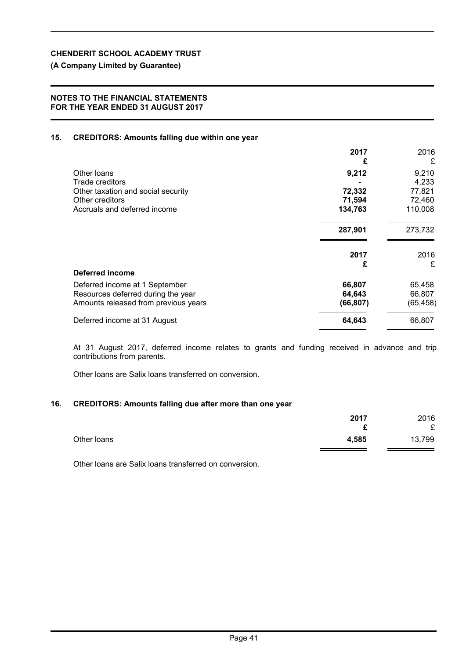# **(A Company Limited by Guarantee)**

#### **NOTES TO THE FINANCIAL STATEMENTS FOR THE YEAR ENDED 31 AUGUST 2017**

#### **15. CREDITORS: Amounts falling due within one year**

|                                      | 2017<br>£ | 2016<br>£ |
|--------------------------------------|-----------|-----------|
| Other loans                          | 9,212     | 9,210     |
| Trade creditors                      |           | 4,233     |
| Other taxation and social security   | 72,332    | 77,821    |
| Other creditors                      | 71,594    | 72,460    |
| Accruals and deferred income         | 134,763   | 110,008   |
|                                      | 287,901   | 273,732   |
|                                      | 2017      | 2016      |
|                                      | £         | £         |
| Deferred income                      |           |           |
| Deferred income at 1 September       | 66,807    | 65,458    |
| Resources deferred during the year   | 64,643    | 66,807    |
| Amounts released from previous years | (66, 807) | (65, 458) |
| Deferred income at 31 August         | 64,643    | 66,807    |
|                                      |           |           |

At 31 August 2017, deferred income relates to grants and funding received in advance and trip contributions from parents.

Other loans are Salix loans transferred on conversion.

#### **16. CREDITORS: Amounts falling due after more than one year**

|             | 2017   | 2016   |
|-------------|--------|--------|
|             | r<br>~ | £      |
| Other loans | 4,585  | 13,799 |

Other loans are Salix loans transferred on conversion.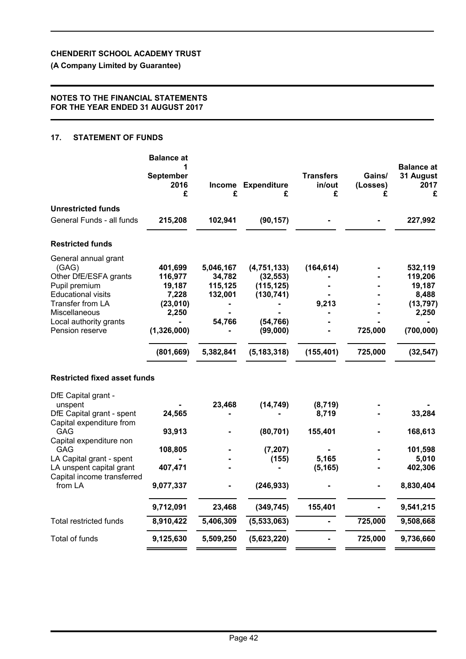**(A Company Limited by Guarantee)**

### **NOTES TO THE FINANCIAL STATEMENTS FOR THE YEAR ENDED 31 AUGUST 2017**

### **17. STATEMENT OF FUNDS**

|                                                                                                                                                                                                                                          | <b>Balance at</b><br>1<br><b>September</b><br>2016<br>£                                 | £                                                                | Income Expenditure<br>£                                                                        | <b>Transfers</b><br>in/out<br>£                              | Gains/<br>(Losses)<br>£ | <b>Balance at</b><br>31 August<br>2017<br>£                                            |
|------------------------------------------------------------------------------------------------------------------------------------------------------------------------------------------------------------------------------------------|-----------------------------------------------------------------------------------------|------------------------------------------------------------------|------------------------------------------------------------------------------------------------|--------------------------------------------------------------|-------------------------|----------------------------------------------------------------------------------------|
| <b>Unrestricted funds</b>                                                                                                                                                                                                                |                                                                                         |                                                                  |                                                                                                |                                                              |                         |                                                                                        |
| General Funds - all funds                                                                                                                                                                                                                | 215,208                                                                                 | 102,941                                                          | (90, 157)                                                                                      |                                                              |                         | 227,992                                                                                |
| <b>Restricted funds</b>                                                                                                                                                                                                                  |                                                                                         |                                                                  |                                                                                                |                                                              |                         |                                                                                        |
| General annual grant<br>(GAG)<br>Other DfE/ESFA grants<br>Pupil premium<br><b>Educational visits</b><br>Transfer from LA<br>Miscellaneous<br>Local authority grants<br>Pension reserve                                                   | 401,699<br>116,977<br>19,187<br>7,228<br>(23,010)<br>2,250<br>(1,326,000)<br>(801, 669) | 5,046,167<br>34,782<br>115,125<br>132,001<br>54,766<br>5,382,841 | (4,751,133)<br>(32, 553)<br>(115, 125)<br>(130, 741)<br>(54, 766)<br>(99,000)<br>(5, 183, 318) | (164, 614)<br>9,213<br>(155, 401)                            | 725,000<br>725,000      | 532,119<br>119,206<br>19,187<br>8,488<br>(13, 797)<br>2,250<br>(700, 000)<br>(32, 547) |
| <b>Restricted fixed asset funds</b>                                                                                                                                                                                                      |                                                                                         |                                                                  |                                                                                                |                                                              |                         |                                                                                        |
| DfE Capital grant -<br>unspent<br>DfE Capital grant - spent<br>Capital expenditure from<br><b>GAG</b><br>Capital expenditure non<br>GAG<br>LA Capital grant - spent<br>LA unspent capital grant<br>Capital income transferred<br>from LA | 24,565<br>93,913<br>108,805<br>407,471<br>9,077,337<br>9,712,091                        | 23,468<br>23,468                                                 | (14, 749)<br>(80, 701)<br>(7, 207)<br>(155)<br>(246, 933)<br>(349, 745)                        | (8, 719)<br>8,719<br>155,401<br>5,165<br>(5, 165)<br>155,401 |                         | 33,284<br>168,613<br>101,598<br>5,010<br>402,306<br>8,830,404<br>9,541,215             |
| <b>Total restricted funds</b>                                                                                                                                                                                                            | 8,910,422                                                                               | 5,406,309                                                        | (5, 533, 063)                                                                                  |                                                              | 725,000                 | 9,508,668                                                                              |
| Total of funds                                                                                                                                                                                                                           | 9,125,630                                                                               | 5,509,250                                                        | (5,623,220)                                                                                    |                                                              | 725,000                 | 9,736,660                                                                              |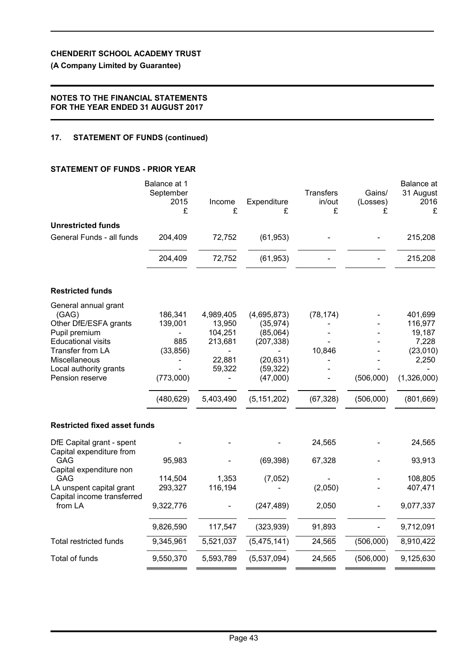**(A Company Limited by Guarantee)**

## **NOTES TO THE FINANCIAL STATEMENTS FOR THE YEAR ENDED 31 AUGUST 2017**

# **17. STATEMENT OF FUNDS (continued)**

# **STATEMENT OF FUNDS - PRIOR YEAR**

|                                                        | Balance at 1<br>September<br>2015<br>£ | Income<br>£ | Expenditure<br>£ | <b>Transfers</b><br>in/out<br>£ | Gains/<br>(Losses)<br>£ | Balance at<br>31 August<br>2016<br>£ |
|--------------------------------------------------------|----------------------------------------|-------------|------------------|---------------------------------|-------------------------|--------------------------------------|
| <b>Unrestricted funds</b>                              |                                        |             |                  |                                 |                         |                                      |
| General Funds - all funds                              | 204,409                                | 72,752      | (61, 953)        |                                 |                         | 215,208                              |
|                                                        | 204,409                                | 72,752      | (61, 953)        |                                 |                         | 215,208                              |
| <b>Restricted funds</b>                                |                                        |             |                  |                                 |                         |                                      |
| General annual grant<br>(GAG)                          | 186,341                                | 4,989,405   | (4,695,873)      | (78, 174)                       |                         | 401,699                              |
| Other DfE/ESFA grants                                  | 139,001                                | 13,950      | (35, 974)        |                                 |                         | 116,977                              |
| Pupil premium                                          | $\frac{1}{2}$                          | 104,251     | (85,064)         |                                 |                         | 19,187                               |
| <b>Educational visits</b>                              | 885                                    | 213,681     | (207, 338)       |                                 |                         | 7,228                                |
| Transfer from LA<br>Miscellaneous                      | (33, 856)                              | 22,881      | (20, 631)        | 10,846                          |                         | (23,010)<br>2,250                    |
| Local authority grants                                 |                                        | 59,322      | (59, 322)        |                                 |                         |                                      |
| Pension reserve                                        | (773,000)                              |             | (47,000)         |                                 | (506,000)               | (1,326,000)                          |
|                                                        | (480, 629)                             | 5,403,490   | (5, 151, 202)    | (67, 328)                       | (506,000)               | (801, 669)                           |
| <b>Restricted fixed asset funds</b>                    |                                        |             |                  |                                 |                         |                                      |
| DfE Capital grant - spent<br>Capital expenditure from  |                                        |             |                  | 24,565                          |                         | 24,565                               |
| GAG<br>Capital expenditure non                         | 95,983                                 |             | (69, 398)        | 67,328                          |                         | 93,913                               |
| GAG                                                    | 114,504                                | 1,353       | (7,052)          |                                 |                         | 108,805                              |
| LA unspent capital grant<br>Capital income transferred | 293,327                                | 116,194     |                  | (2,050)                         |                         | 407,471                              |
| from LA                                                | 9,322,776                              |             | (247, 489)       | 2,050                           |                         | 9,077,337                            |
|                                                        | 9,826,590                              | 117,547     | (323, 939)       | 91,893                          |                         | 9,712,091                            |
| <b>Total restricted funds</b>                          | 9,345,961                              | 5,521,037   | (5,475,141)      | 24,565                          | (506,000)               | 8,910,422                            |
| Total of funds                                         | 9,550,370                              | 5,593,789   | (5,537,094)      | 24,565                          | (506,000)               | 9,125,630                            |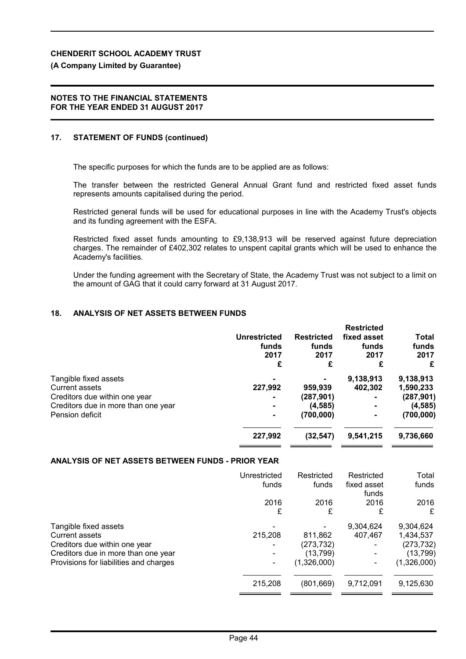# **(A Company Limited by Guarantee)**

### **NOTES TO THE FINANCIAL STATEMENTS FOR THE YEAR ENDED 31 AUGUST 2017**

# **17. STATEMENT OF FUNDS (continued)**

The specific purposes for which the funds are to be applied are as follows:

The transfer between the restricted General Annual Grant fund and restricted fixed asset funds represents amounts capitalised during the period.

Restricted general funds will be used for educational purposes in line with the Academy Trust's objects and its funding agreement with the ESFA.

Restricted fixed asset funds amounting to £9,138,913 will be reserved against future depreciation charges. The remainder of £402,302 relates to unspent capital grants which will be used to enhance the Academy's facilities.

Under the funding agreement with the Secretary of State, the Academy Trust was not subject to a limit on the amount of GAG that it could carry forward at 31 August 2017.

# **18. ANALYSIS OF NET ASSETS BETWEEN FUNDS**

|                |                   | <b>Restricted</b> |            |
|----------------|-------------------|-------------------|------------|
| Unrestricted   | <b>Restricted</b> | fixed asset       | Total      |
| funds          | funds             | funds             | funds      |
| 2017           | 2017              | 2017              | 2017       |
| £              | £                 | £                 | £          |
|                |                   | 9,138,913         | 9,138,913  |
| 227,992        | 959,939           | 402,302           | 1,590,233  |
| $\blacksquare$ | (287, 901)        |                   | (287, 901) |
| $\blacksquare$ | (4, 585)          |                   | (4, 585)   |
| $\blacksquare$ | (700,000)         |                   | (700, 000) |
|                |                   |                   | 9,736,660  |
|                | 227,992           | (32, 547)         | 9,541,215  |

# **ANALYSIS OF NET ASSETS BETWEEN FUNDS - PRIOR YEAR**

|                                                                                                                                                                  | Unrestricted<br>funds | Restricted<br>funds                               | Restricted<br>fixed asset<br>funds | Total<br>funds                                                   |
|------------------------------------------------------------------------------------------------------------------------------------------------------------------|-----------------------|---------------------------------------------------|------------------------------------|------------------------------------------------------------------|
|                                                                                                                                                                  | 2016<br>£             | 2016<br>£                                         | 2016<br>£                          | 2016<br>£                                                        |
| Tangible fixed assets<br><b>Current assets</b><br>Creditors due within one year<br>Creditors due in more than one year<br>Provisions for liabilities and charges | 215,208               | 811,862<br>(273, 732)<br>(13, 799)<br>(1,326,000) | 9,304,624<br>407,467               | 9,304,624<br>1,434,537<br>(273, 732)<br>(13, 799)<br>(1,326,000) |
|                                                                                                                                                                  | 215,208               | (801, 669)                                        | 9,712,091                          | 9,125,630                                                        |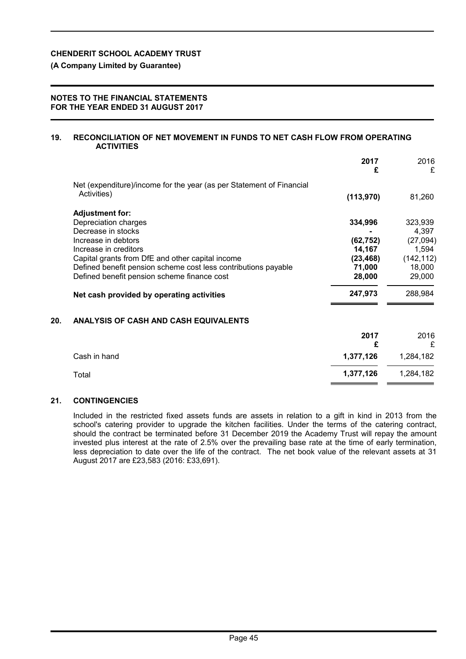### **(A Company Limited by Guarantee)**

#### **NOTES TO THE FINANCIAL STATEMENTS FOR THE YEAR ENDED 31 AUGUST 2017**

#### **19. RECONCILIATION OF NET MOVEMENT IN FUNDS TO NET CASH FLOW FROM OPERATING ACTIVITIES**

|     |                                                                                     | 2017<br>£ | 2016<br>£  |
|-----|-------------------------------------------------------------------------------------|-----------|------------|
|     | Net (expenditure)/income for the year (as per Statement of Financial<br>Activities) | (113,970) | 81,260     |
|     | <b>Adjustment for:</b>                                                              |           |            |
|     | Depreciation charges                                                                | 334,996   | 323,939    |
|     | Decrease in stocks                                                                  |           | 4,397      |
|     | Increase in debtors                                                                 | (62, 752) | (27,094)   |
|     | Increase in creditors                                                               | 14,167    | 1,594      |
|     | Capital grants from DfE and other capital income                                    | (23, 468) | (142, 112) |
|     | Defined benefit pension scheme cost less contributions payable                      | 71,000    | 18,000     |
|     | Defined benefit pension scheme finance cost                                         | 28,000    | 29,000     |
|     | Net cash provided by operating activities                                           | 247,973   | 288,984    |
| 20. | ANALYSIS OF CASH AND CASH EQUIVALENTS                                               |           |            |
|     |                                                                                     |           |            |

| 2017      | 2016<br>£ |
|-----------|-----------|
| 1,377,126 | 1,284,182 |
| 1,377,126 | 1,284,182 |
|           |           |

### **21. CONTINGENCIES**

Included in the restricted fixed assets funds are assets in relation to a gift in kind in 2013 from the school's catering provider to upgrade the kitchen facilities. Under the terms of the catering contract, should the contract be terminated before 31 December 2019 the Academy Trust will repay the amount invested plus interest at the rate of 2.5% over the prevailing base rate at the time of early termination, less depreciation to date over the life of the contract. The net book value of the relevant assets at 31 August 2017 are £23,583 (2016: £33,691).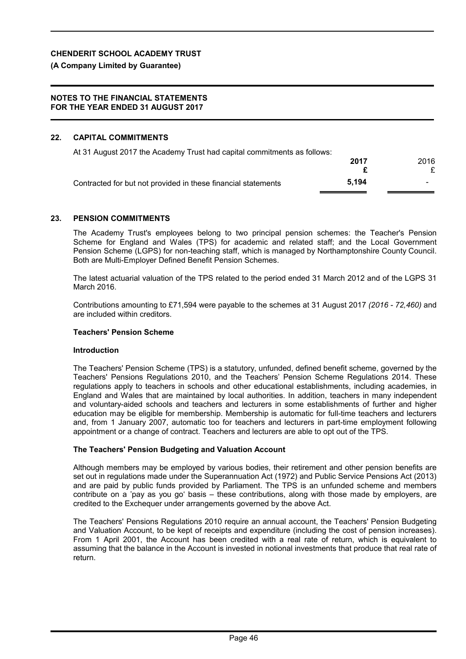**(A Company Limited by Guarantee)**

### **NOTES TO THE FINANCIAL STATEMENTS FOR THE YEAR ENDED 31 AUGUST 2017**

# **22. CAPITAL COMMITMENTS**

| At 31 August 2017 the Academy Trust had capital commitments as follows: |       |      |
|-------------------------------------------------------------------------|-------|------|
|                                                                         | 2017  | 2016 |
|                                                                         |       |      |
| Contracted for but not provided in these financial statements           | 5.194 |      |
|                                                                         |       |      |

#### **23. PENSION COMMITMENTS**

The Academy Trust's employees belong to two principal pension schemes: the Teacher's Pension Scheme for England and Wales (TPS) for academic and related staff; and the Local Government Pension Scheme (LGPS) for non-teaching staff, which is managed by Northamptonshire County Council. Both are Multi-Employer Defined Benefit Pension Schemes.

The latest actuarial valuation of the TPS related to the period ended 31 March 2012 and of the LGPS 31 March 2016.

Contributions amounting to £71,594 were payable to the schemes at 31 August 2017 *(2016 - 72,460)* and are included within creditors.

### **Teachers' Pension Scheme**

#### **Introduction**

The Teachers' Pension Scheme (TPS) is a statutory, unfunded, defined benefit scheme, governed by the Teachers' Pensions Regulations 2010, and the Teachers' Pension Scheme Regulations 2014. These regulations apply to teachers in schools and other educational establishments, including academies, in England and Wales that are maintained by local authorities. In addition, teachers in many independent and voluntary-aided schools and teachers and lecturers in some establishments of further and higher education may be eligible for membership. Membership is automatic for full-time teachers and lecturers and, from 1 January 2007, automatic too for teachers and lecturers in part-time employment following appointment or a change of contract. Teachers and lecturers are able to opt out of the TPS.

#### **The Teachers' Pension Budgeting and Valuation Account**

Although members may be employed by various bodies, their retirement and other pension benefits are set out in regulations made under the Superannuation Act (1972) and Public Service Pensions Act (2013) and are paid by public funds provided by Parliament. The TPS is an unfunded scheme and members contribute on a 'pay as you go' basis – these contributions, along with those made by employers, are credited to the Exchequer under arrangements governed by the above Act.

The Teachers' Pensions Regulations 2010 require an annual account, the Teachers' Pension Budgeting and Valuation Account, to be kept of receipts and expenditure (including the cost of pension increases). From 1 April 2001, the Account has been credited with a real rate of return, which is equivalent to assuming that the balance in the Account is invested in notional investments that produce that real rate of return.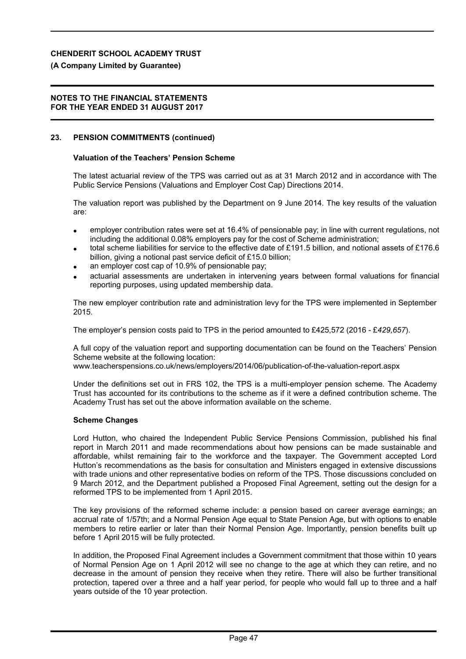#### **(A Company Limited by Guarantee)**

#### **NOTES TO THE FINANCIAL STATEMENTS FOR THE YEAR ENDED 31 AUGUST 2017**

#### **23. PENSION COMMITMENTS (continued)**

#### **Valuation of the Teachers' Pension Scheme**

The latest actuarial review of the TPS was carried out as at 31 March 2012 and in accordance with The Public Service Pensions (Valuations and Employer Cost Cap) Directions 2014.

The valuation report was published by the Department on 9 June 2014. The key results of the valuation are:

- employer contribution rates were set at 16.4% of pensionable pay; in line with current regulations, not including the additional 0.08% employers pay for the cost of Scheme administration;
- total scheme liabilities for service to the effective date of £191.5 billion, and notional assets of £176.6 billion, giving a notional past service deficit of £15.0 billion;
- an employer cost cap of 10.9% of pensionable pay;
- actuarial assessments are undertaken in intervening years between formal valuations for financial reporting purposes, using updated membership data.

The new employer contribution rate and administration levy for the TPS were implemented in September 2015.

The employer's pension costs paid to TPS in the period amounted to £425,572 (2016 - £*429,657*).

A full copy of the valuation report and supporting documentation can be found on the Teachers' Pension Scheme website at the following location:

www.teacherspensions.co.uk/news/employers/2014/06/publication-of-the-valuation-report.aspx

Under the definitions set out in FRS 102, the TPS is a multi-employer pension scheme. The Academy Trust has accounted for its contributions to the scheme as if it were a defined contribution scheme. The Academy Trust has set out the above information available on the scheme.

#### **Scheme Changes**

Lord Hutton, who chaired the Independent Public Service Pensions Commission, published his final report in March 2011 and made recommendations about how pensions can be made sustainable and affordable, whilst remaining fair to the workforce and the taxpayer. The Government accepted Lord Hutton's recommendations as the basis for consultation and Ministers engaged in extensive discussions with trade unions and other representative bodies on reform of the TPS. Those discussions concluded on 9 March 2012, and the Department published a Proposed Final Agreement, setting out the design for a reformed TPS to be implemented from 1 April 2015.

The key provisions of the reformed scheme include: a pension based on career average earnings; an accrual rate of 1/57th; and a Normal Pension Age equal to State Pension Age, but with options to enable members to retire earlier or later than their Normal Pension Age. Importantly, pension benefits built up before 1 April 2015 will be fully protected.

In addition, the Proposed Final Agreement includes a Government commitment that those within 10 years of Normal Pension Age on 1 April 2012 will see no change to the age at which they can retire, and no decrease in the amount of pension they receive when they retire. There will also be further transitional protection, tapered over a three and a half year period, for people who would fall up to three and a half years outside of the 10 year protection.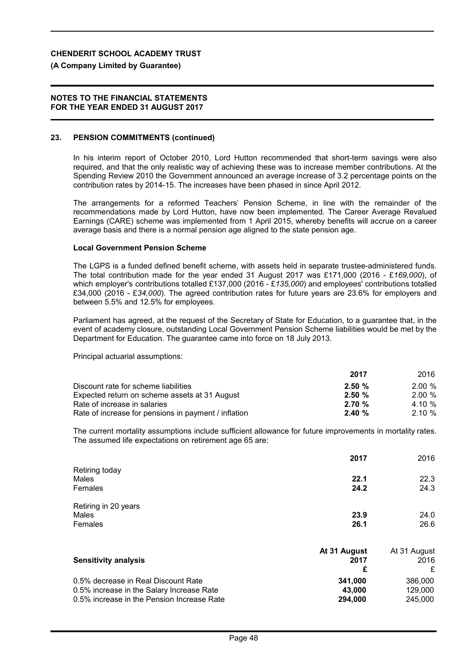#### **(A Company Limited by Guarantee)**

#### **NOTES TO THE FINANCIAL STATEMENTS FOR THE YEAR ENDED 31 AUGUST 2017**

#### **23. PENSION COMMITMENTS (continued)**

In his interim report of October 2010, Lord Hutton recommended that short-term savings were also required, and that the only realistic way of achieving these was to increase member contributions. At the Spending Review 2010 the Government announced an average increase of 3.2 percentage points on the contribution rates by 2014-15. The increases have been phased in since April 2012.

The arrangements for a reformed Teachers' Pension Scheme, in line with the remainder of the recommendations made by Lord Hutton, have now been implemented. The Career Average Revalued Earnings (CARE) scheme was implemented from 1 April 2015, whereby benefits will accrue on a career average basis and there is a normal pension age aligned to the state pension age.

#### **Local Government Pension Scheme**

The LGPS is a funded defined benefit scheme, with assets held in separate trustee-administered funds. The total contribution made for the year ended 31 August 2017 was £171,000 (2016 - £*169,000*), of which employer's contributions totalled £137,000 (2016 - £*135,000*) and employees' contributions totalled £34,000 (2016 - £*34,000*). The agreed contribution rates for future years are 23.6% for employers and between 5.5% and 12.5% for employees.

Parliament has agreed, at the request of the Secretary of State for Education, to a guarantee that, in the event of academy closure, outstanding Local Government Pension Scheme liabilities would be met by the Department for Education. The guarantee came into force on 18 July 2013.

Principal actuarial assumptions:

|                                                      | 2017  | 2016  |
|------------------------------------------------------|-------|-------|
| Discount rate for scheme liabilities                 | 2.50% | 2.00% |
| Expected return on scheme assets at 31 August        | 2.50% | 2.00% |
| Rate of increase in salaries                         | 2.70% | 4.10% |
| Rate of increase for pensions in payment / inflation | 2.40% | 2.10% |

The current mortality assumptions include sufficient allowance for future improvements in mortality rates. The assumed life expectations on retirement age 65 are:

|                      | 2017 | 2016 |
|----------------------|------|------|
| Retiring today       |      |      |
| Males                | 22.1 | 22.3 |
| Females              | 24.2 | 24.3 |
| Retiring in 20 years |      |      |
| Males                | 23.9 | 24.0 |
| Females              | 26.1 | 26.6 |

| <b>Sensitivity analysis</b>                | At 31 August<br>2017 | At 31 August<br>2016<br>£ |
|--------------------------------------------|----------------------|---------------------------|
| 0.5% decrease in Real Discount Rate        | 341.000              | 386,000                   |
| 0.5% increase in the Salary Increase Rate  | 43,000               | 129,000                   |
| 0.5% increase in the Pension Increase Rate | 294.000              | 245,000                   |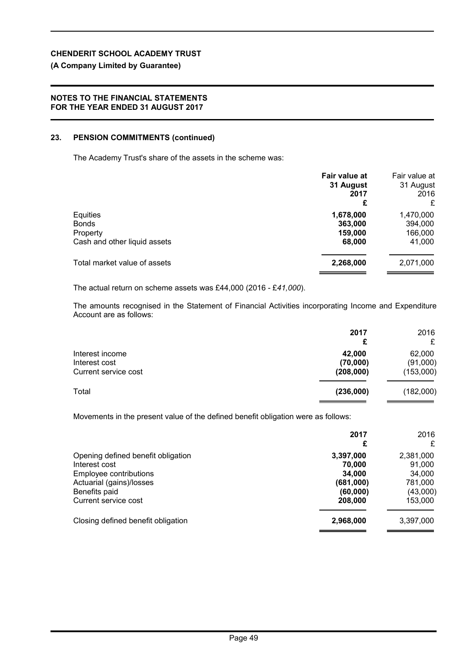# **(A Company Limited by Guarantee)**

# **NOTES TO THE FINANCIAL STATEMENTS FOR THE YEAR ENDED 31 AUGUST 2017**

# **23. PENSION COMMITMENTS (continued)**

The Academy Trust's share of the assets in the scheme was:

|                                                                      | Fair value at<br>31 August<br>2017<br>£   | Fair value at<br>31 August<br>2016<br>£   |
|----------------------------------------------------------------------|-------------------------------------------|-------------------------------------------|
| Equities<br><b>Bonds</b><br>Property<br>Cash and other liquid assets | 1,678,000<br>363,000<br>159,000<br>68,000 | 1,470,000<br>394,000<br>166,000<br>41,000 |
| Total market value of assets                                         | 2,268,000                                 | 2,071,000                                 |

The actual return on scheme assets was £44,000 (2016 - £*41,000*).

The amounts recognised in the Statement of Financial Activities incorporating Income and Expenditure Account are as follows:

|                                                          | 2017<br>£                       | 2016<br>£                       |
|----------------------------------------------------------|---------------------------------|---------------------------------|
| Interest income<br>Interest cost<br>Current service cost | 42,000<br>(70,000)<br>(208,000) | 62,000<br>(91,000)<br>(153,000) |
| Total                                                    | (236,000)                       | (182,000)                       |

Movements in the present value of the defined benefit obligation were as follows:

|                                                                                                                                                    | 2017<br>£                                                         | 2016<br>£                                                       |
|----------------------------------------------------------------------------------------------------------------------------------------------------|-------------------------------------------------------------------|-----------------------------------------------------------------|
| Opening defined benefit obligation<br>Interest cost<br>Employee contributions<br>Actuarial (gains)/losses<br>Benefits paid<br>Current service cost | 3,397,000<br>70,000<br>34,000<br>(681,000)<br>(60,000)<br>208,000 | 2,381,000<br>91,000<br>34,000<br>781,000<br>(43,000)<br>153,000 |
| Closing defined benefit obligation                                                                                                                 | 2,968,000                                                         | 3,397,000                                                       |